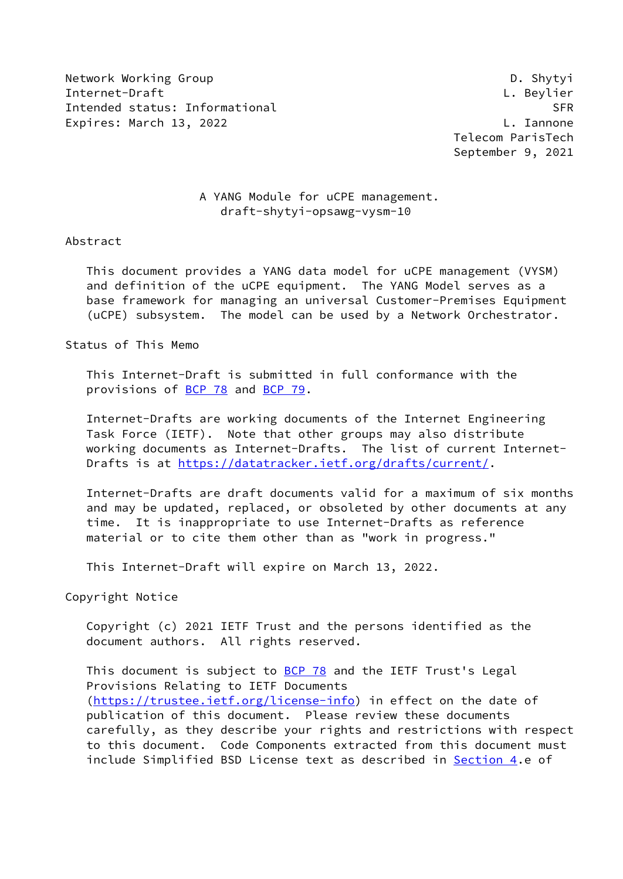Network Working Group **D. Shytyi** Internet-Draft L. Beylier Intended status: Informational SER Expires: March 13, 2022 **L. Iannone** 

 Telecom ParisTech September 9, 2021

# A YANG Module for uCPE management. draft-shytyi-opsawg-vysm-10

#### Abstract

 This document provides a YANG data model for uCPE management (VYSM) and definition of the uCPE equipment. The YANG Model serves as a base framework for managing an universal Customer-Premises Equipment (uCPE) subsystem. The model can be used by a Network Orchestrator.

Status of This Memo

 This Internet-Draft is submitted in full conformance with the provisions of [BCP 78](https://datatracker.ietf.org/doc/pdf/bcp78) and [BCP 79](https://datatracker.ietf.org/doc/pdf/bcp79).

 Internet-Drafts are working documents of the Internet Engineering Task Force (IETF). Note that other groups may also distribute working documents as Internet-Drafts. The list of current Internet- Drafts is at<https://datatracker.ietf.org/drafts/current/>.

 Internet-Drafts are draft documents valid for a maximum of six months and may be updated, replaced, or obsoleted by other documents at any time. It is inappropriate to use Internet-Drafts as reference material or to cite them other than as "work in progress."

This Internet-Draft will expire on March 13, 2022.

Copyright Notice

 Copyright (c) 2021 IETF Trust and the persons identified as the document authors. All rights reserved.

This document is subject to **[BCP 78](https://datatracker.ietf.org/doc/pdf/bcp78)** and the IETF Trust's Legal Provisions Relating to IETF Documents [\(https://trustee.ietf.org/license-info](https://trustee.ietf.org/license-info)) in effect on the date of publication of this document. Please review these documents carefully, as they describe your rights and restrictions with respect to this document. Code Components extracted from this document must include Simplified BSD License text as described in [Section 4.](#page-5-0)e of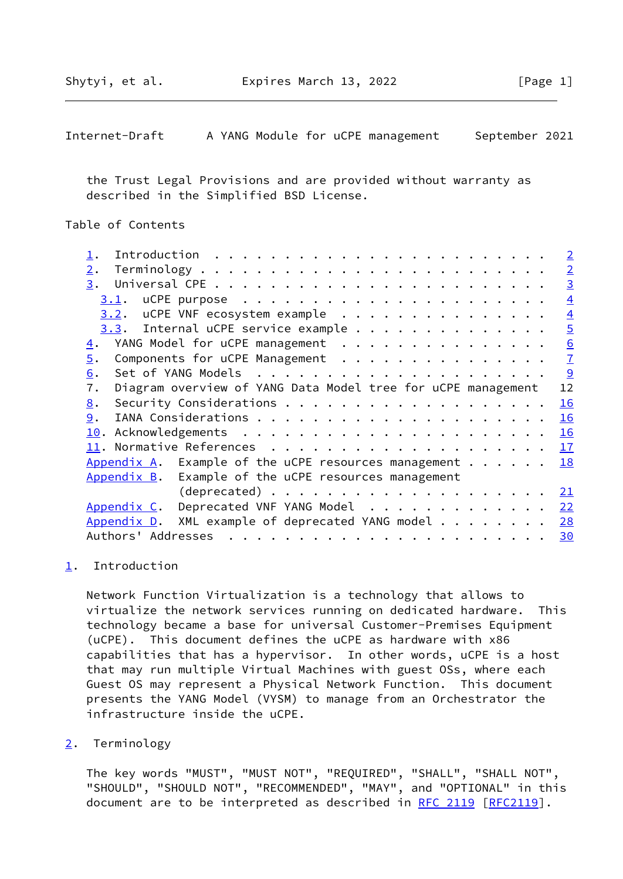<span id="page-1-1"></span> the Trust Legal Provisions and are provided without warranty as described in the Simplified BSD License.

# Table of Contents

|                                                                                                                                                                                                                                                                                                                                                                                                                                                                | $\overline{2}$ |
|----------------------------------------------------------------------------------------------------------------------------------------------------------------------------------------------------------------------------------------------------------------------------------------------------------------------------------------------------------------------------------------------------------------------------------------------------------------|----------------|
| 2.                                                                                                                                                                                                                                                                                                                                                                                                                                                             | $\overline{2}$ |
| 3.                                                                                                                                                                                                                                                                                                                                                                                                                                                             | $\overline{3}$ |
| 3.1.                                                                                                                                                                                                                                                                                                                                                                                                                                                           | $\overline{4}$ |
| $3.2$ . uCPE VNF ecosystem example                                                                                                                                                                                                                                                                                                                                                                                                                             | $\overline{4}$ |
| $3.3.$ Internal uCPE service example                                                                                                                                                                                                                                                                                                                                                                                                                           | $\overline{5}$ |
| YANG Model for uCPE management<br>$\overline{4}$ .                                                                                                                                                                                                                                                                                                                                                                                                             | 6              |
| Components for uCPE Management<br>5.                                                                                                                                                                                                                                                                                                                                                                                                                           | $\overline{1}$ |
| 6.                                                                                                                                                                                                                                                                                                                                                                                                                                                             | 9              |
| Diagram overview of YANG Data Model tree for uCPE management<br>7.                                                                                                                                                                                                                                                                                                                                                                                             | 12             |
| 8.                                                                                                                                                                                                                                                                                                                                                                                                                                                             | 16             |
| 9.                                                                                                                                                                                                                                                                                                                                                                                                                                                             | 16             |
|                                                                                                                                                                                                                                                                                                                                                                                                                                                                | 16             |
|                                                                                                                                                                                                                                                                                                                                                                                                                                                                | 17             |
| Appendix A. Example of the uCPE resources management $\dots$                                                                                                                                                                                                                                                                                                                                                                                                   | 18             |
| $Appendix B$ . Example of the uCPE resources management                                                                                                                                                                                                                                                                                                                                                                                                        |                |
| $(deprecated)$                                                                                                                                                                                                                                                                                                                                                                                                                                                 | <u>21</u>      |
| Deprecated VNF YANG Model<br>Appendix C.                                                                                                                                                                                                                                                                                                                                                                                                                       | 22             |
| XML example of deprecated YANG model<br>Appendix D.                                                                                                                                                                                                                                                                                                                                                                                                            | 28             |
| Authors' Addresses<br>$\mathbf{r}^{(i)} \cdot \mathbf{r}^{(i)} \cdot \mathbf{r}^{(i)} \cdot \mathbf{r}^{(i)} \cdot \mathbf{r}^{(i)} \cdot \mathbf{r}^{(i)} \cdot \mathbf{r}^{(i)} \cdot \mathbf{r}^{(i)} \cdot \mathbf{r}^{(i)} \cdot \mathbf{r}^{(i)} \cdot \mathbf{r}^{(i)} \cdot \mathbf{r}^{(i)} \cdot \mathbf{r}^{(i)} \cdot \mathbf{r}^{(i)} \cdot \mathbf{r}^{(i)} \cdot \mathbf{r}^{(i)} \cdot \mathbf{r}^{(i)} \cdot \mathbf{r}^{(i)} \cdot \mathbf{$ | 30             |
|                                                                                                                                                                                                                                                                                                                                                                                                                                                                |                |

### <span id="page-1-0"></span>[1](#page-1-0). Introduction

 Network Function Virtualization is a technology that allows to virtualize the network services running on dedicated hardware. This technology became a base for universal Customer-Premises Equipment (uCPE). This document defines the uCPE as hardware with x86 capabilities that has a hypervisor. In other words, uCPE is a host that may run multiple Virtual Machines with guest OSs, where each Guest OS may represent a Physical Network Function. This document presents the YANG Model (VYSM) to manage from an Orchestrator the infrastructure inside the uCPE.

#### <span id="page-1-2"></span>[2](#page-1-2). Terminology

 The key words "MUST", "MUST NOT", "REQUIRED", "SHALL", "SHALL NOT", "SHOULD", "SHOULD NOT", "RECOMMENDED", "MAY", and "OPTIONAL" in this document are to be interpreted as described in [RFC 2119 \[RFC2119](https://datatracker.ietf.org/doc/pdf/rfc2119)].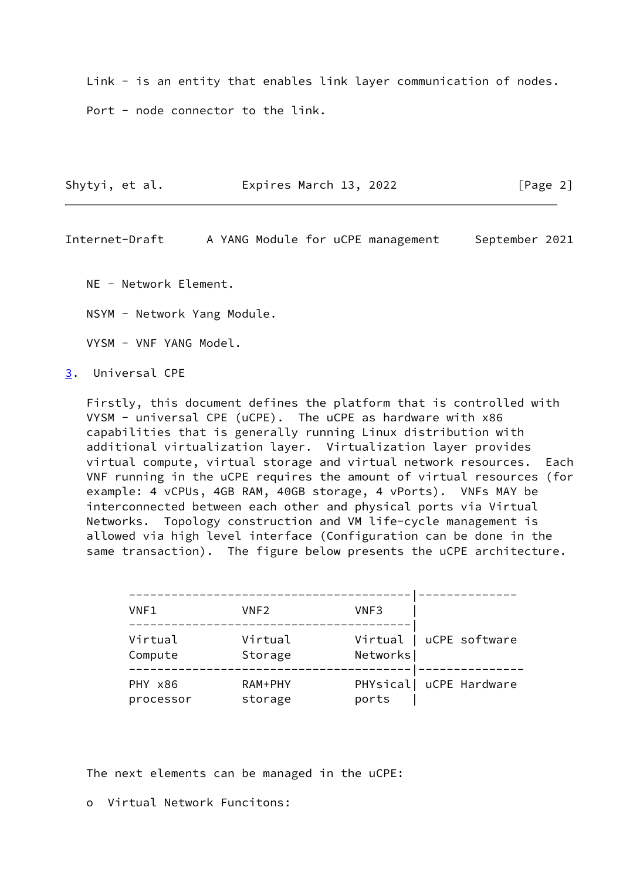Link - is an entity that enables link layer communication of nodes. Port - node connector to the link.

| Shytyi, et al. | Expires March 13, 2022 | [Page 2] |
|----------------|------------------------|----------|
|                |                        |          |

<span id="page-2-1"></span>Internet-Draft A YANG Module for uCPE management September 2021

NE - Network Element.

NSYM - Network Yang Module.

VYSM - VNF YANG Model.

<span id="page-2-0"></span>[3](#page-2-0). Universal CPE

 Firstly, this document defines the platform that is controlled with VYSM - universal CPE (uCPE). The uCPE as hardware with x86 capabilities that is generally running Linux distribution with additional virtualization layer. Virtualization layer provides virtual compute, virtual storage and virtual network resources. Each VNF running in the uCPE requires the amount of virtual resources (for example: 4 vCPUs, 4GB RAM, 40GB storage, 4 vPorts). VNFs MAY be interconnected between each other and physical ports via Virtual Networks. Topology construction and VM life-cycle management is allowed via high level interface (Configuration can be done in the same transaction). The figure below presents the uCPE architecture.

| VNF1                 | VNF <sub>2</sub>     | VNF3     |                         |
|----------------------|----------------------|----------|-------------------------|
| Virtual<br>Compute   | Virtual<br>Storage   | Networks | Virtual   uCPE software |
| PHY x86<br>processor | $RAM+PHY$<br>storage | ports    | PHYsical  uCPE Hardware |

The next elements can be managed in the uCPE:

o Virtual Network Funcitons: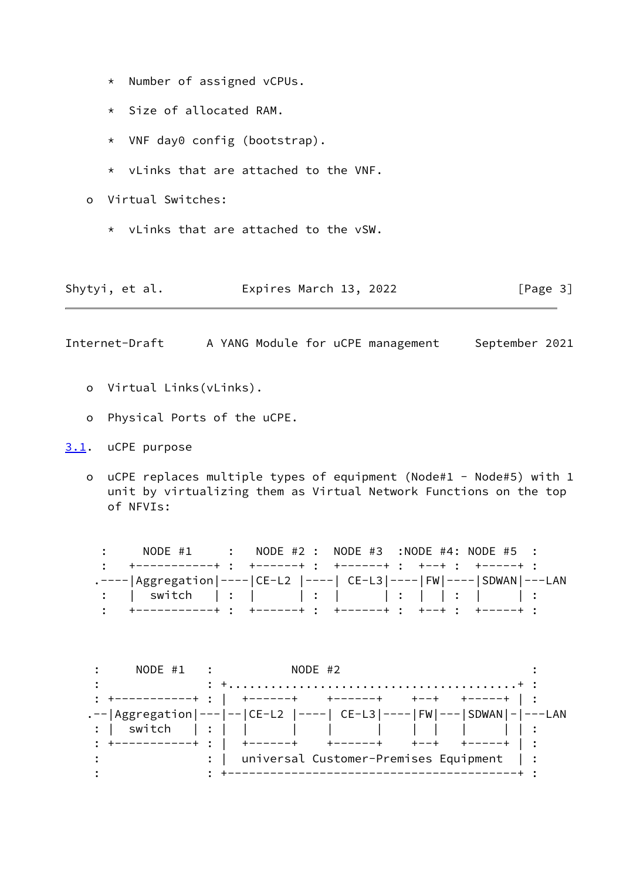- \* Number of assigned vCPUs.
- \* Size of allocated RAM.
- \* VNF day0 config (bootstrap).
- \* vLinks that are attached to the VNF.
- o Virtual Switches:
	- \* vLinks that are attached to the vSW.

<span id="page-3-1"></span>

| Shytyi, et al. | Expires March 13, 2022 | [Page 3] |
|----------------|------------------------|----------|
|----------------|------------------------|----------|

- o Virtual Links(vLinks).
- o Physical Ports of the uCPE.
- <span id="page-3-0"></span>[3.1](#page-3-0). uCPE purpose
	- o uCPE replaces multiple types of equipment (Node#1 Node#5) with 1 unit by virtualizing them as Virtual Network Functions on the top of NFVIs:

: NODE #1 : NODE #2 : NODE #3 :NODE #4: NODE #5 : : +-----------+ : +------+ : +------+ : +--+ : +-----+ : .----|Aggregation|----|CE-L2 |----| CE-L3|----|FW|----|SDWAN|---LAN : | switch | : | | : | | : | | : | | : : +-----------+ : +------+ : +------+ : +--+ : +-----+ :

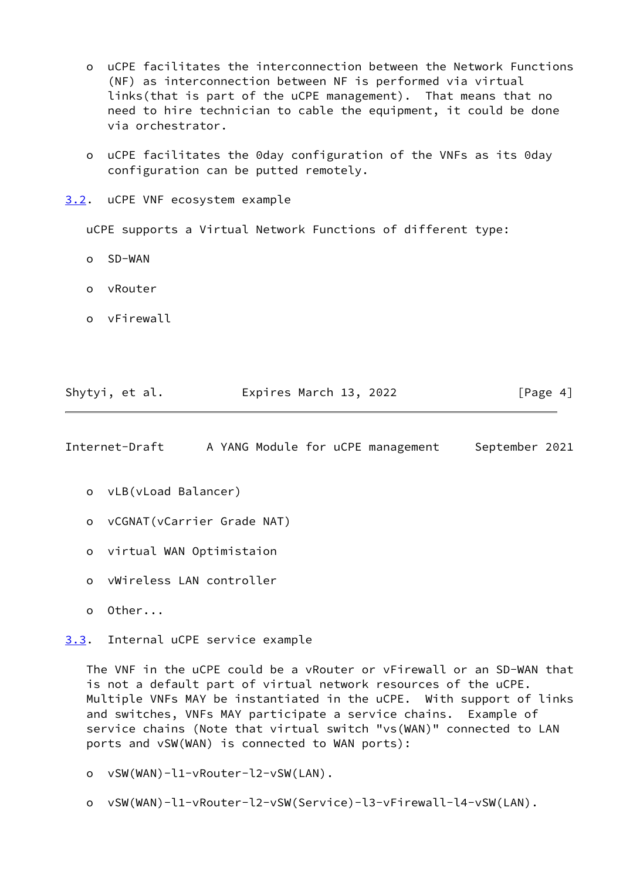- o uCPE facilitates the interconnection between the Network Functions (NF) as interconnection between NF is performed via virtual links(that is part of the uCPE management). That means that no need to hire technician to cable the equipment, it could be done via orchestrator.
- o uCPE facilitates the 0day configuration of the VNFs as its 0day configuration can be putted remotely.
- <span id="page-4-0"></span>[3.2](#page-4-0). uCPE VNF ecosystem example

uCPE supports a Virtual Network Functions of different type:

- o SD-WAN
- o vRouter
- o vFirewall

| Shytyi, et al. | Expires March 13, 2022 | [Page 4] |
|----------------|------------------------|----------|
|                |                        |          |

<span id="page-4-2"></span>Internet-Draft A YANG Module for uCPE management September 2021

- o vLB(vLoad Balancer)
- o vCGNAT(vCarrier Grade NAT)
- o virtual WAN Optimistaion
- o vWireless LAN controller
- o Other...

<span id="page-4-1"></span>[3.3](#page-4-1). Internal uCPE service example

 The VNF in the uCPE could be a vRouter or vFirewall or an SD-WAN that is not a default part of virtual network resources of the uCPE. Multiple VNFs MAY be instantiated in the uCPE. With support of links and switches, VNFs MAY participate a service chains. Example of service chains (Note that virtual switch "vs(WAN)" connected to LAN ports and vSW(WAN) is connected to WAN ports):

- o vSW(WAN)-l1-vRouter-l2-vSW(LAN).
- o vSW(WAN)-l1-vRouter-l2-vSW(Service)-l3-vFirewall-l4-vSW(LAN).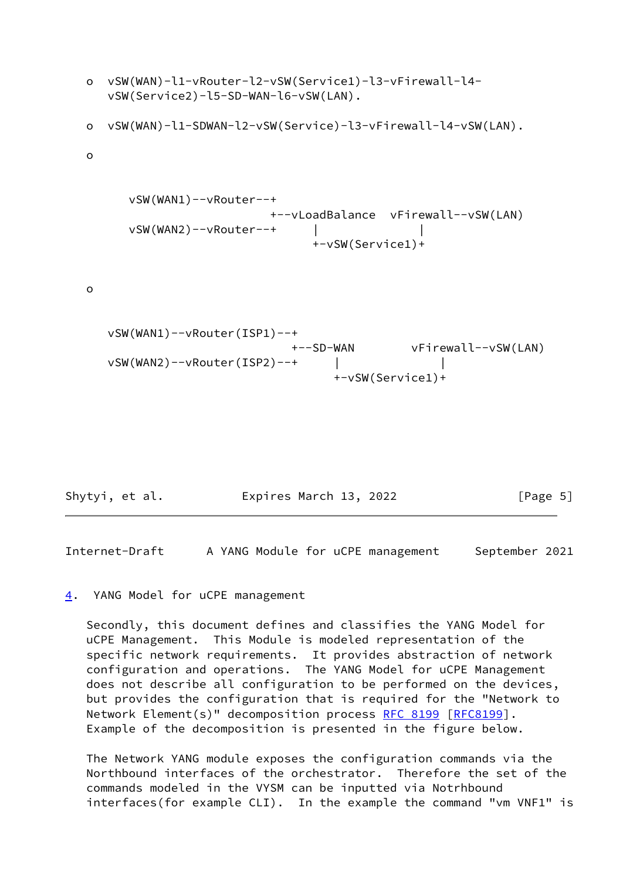```
 o vSW(WAN)-l1-vRouter-l2-vSW(Service1)-l3-vFirewall-l4-
    vSW(Service2)-l5-SD-WAN-l6-vSW(LAN).
 o vSW(WAN)-l1-SDWAN-l2-vSW(Service)-l3-vFirewall-l4-vSW(LAN).
 o
      vSW(WAN1)--vRouter--+
                          +--vLoadBalance vFirewall--vSW(LAN)
      vSW(WAN2)--vRouter--+ | |
                               +-vSW(Service1)+
 o
    vSW(WAN1)--vRouter(ISP1)--+
                            +--SD-WAN vFirewall--vSW(LAN)
    vSW(WAN2)--vRouter(ISP2)--+ | |
                                  +-vSW(Service1)+
```
Shytyi, et al. **Expires March 13, 2022** [Page 5]

<span id="page-5-1"></span>Internet-Draft A YANG Module for uCPE management September 2021

#### <span id="page-5-0"></span>[4](#page-5-0). YANG Model for uCPE management

 Secondly, this document defines and classifies the YANG Model for uCPE Management. This Module is modeled representation of the specific network requirements. It provides abstraction of network configuration and operations. The YANG Model for uCPE Management does not describe all configuration to be performed on the devices, but provides the configuration that is required for the "Network to Network Element(s)" decomposition process [RFC 8199](https://datatracker.ietf.org/doc/pdf/rfc8199) [[RFC8199\]](https://datatracker.ietf.org/doc/pdf/rfc8199). Example of the decomposition is presented in the figure below.

 The Network YANG module exposes the configuration commands via the Northbound interfaces of the orchestrator. Therefore the set of the commands modeled in the VYSM can be inputted via Notrhbound interfaces(for example CLI). In the example the command "vm VNF1" is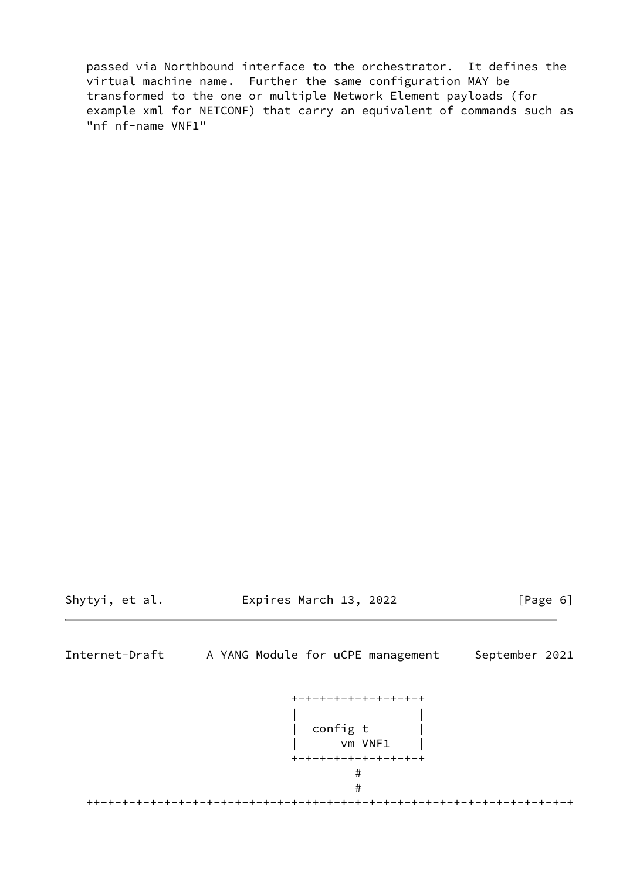passed via Northbound interface to the orchestrator. It defines the virtual machine name. Further the same configuration MAY be transformed to the one or multiple Network Element payloads (for example xml for NETCONF) that carry an equivalent of commands such as "nf nf-name VNF1"

Shytyi, et al. Expires March 13, 2022 [Page 6]

<span id="page-6-0"></span>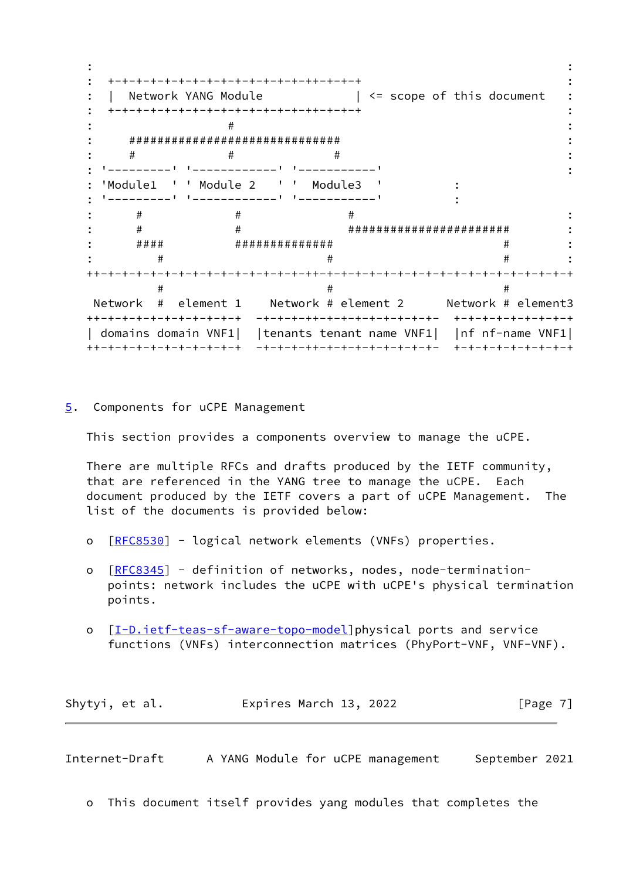: : : +-+-+-+-+-+-+-+-+-+-+-+-+-+-++-+-+-+ : : | Network YANG Module  $| \leq 1$  scope of this document : : +-+-+-+-+-+-+-+-+-+-+-+-+-+-++-+-+-+ :  $\qquad \qquad \bullet$  :  $\qquad \qquad \bullet$  :  $\qquad \qquad \bullet$  :  $\qquad \qquad \bullet$  :  $\qquad \qquad \bullet$  :  $\qquad \qquad \bullet$  :  $\qquad \qquad \bullet$  :  $\qquad \qquad \bullet$  :  $\qquad \qquad \bullet$  :  $\qquad \qquad \bullet$  :  $\qquad \qquad \bullet$  :  $\qquad \qquad \bullet$  :  $\qquad \qquad \bullet$  :  $\qquad \qquad \bullet$  :  $\qquad \qquad \bullet$  :  $\qquad \qquad \bullet$  :  $\qquad \qquad \bullet$  : : ############################## : :  $\qquad \qquad \ \ \, +\qquad \qquad \ \ \, +\qquad \qquad \ \ \, +\qquad \qquad \ \ \, +\qquad \qquad \ \ \, +\qquad \qquad \ \ \, +\qquad \qquad \ \ \, +\qquad \qquad \ \ \, +\qquad \qquad \ \ \, +\qquad \qquad \ \ \, +\qquad \qquad \ \ \, +\qquad \qquad \ \ \, +\qquad \qquad \ \ \, +\qquad \qquad \ \ \, +\qquad \qquad \ \ \, +\qquad \qquad \ \ \, +\qquad \qquad \ \$  : '---------' '------------' '-----------' : : 'Module1 ' ' Module 2 ' ' Module3 ' : : '---------' '------------' '-----------' : : # # # : : # # ####################### : : #### ############## # : : # # # : ++-+-+-+-+-+-+-+-+-+-+-+-+-+-+-++-+-+-+-+-+-+-+-+-+-+-+-+-+-+-+-+-+-+  $\#$   $\#$  Network # element 1 Network # element 2 Network # element3 ++-+-+-+-+-+-+-+-+-+-+ -+-+-+-++-+-+-+-+-+-+-+-+- +-+-+-+-+-+-+-+-+ | domains domain VNF1| |tenants tenant name VNF1| |nf nf-name VNF1| ++-+-+-+-+-+-+-+-+-+-+ -+-+-+-++-+-+-+-+-+-+-+-+- +-+-+-+-+-+-+-+-+

<span id="page-7-0"></span>[5](#page-7-0). Components for uCPE Management

This section provides a components overview to manage the uCPE.

 There are multiple RFCs and drafts produced by the IETF community, that are referenced in the YANG tree to manage the uCPE. Each document produced by the IETF covers a part of uCPE Management. The list of the documents is provided below:

- o [[RFC8530\]](https://datatracker.ietf.org/doc/pdf/rfc8530) logical network elements (VNFs) properties.
- o [[RFC8345\]](https://datatracker.ietf.org/doc/pdf/rfc8345) definition of networks, nodes, node-termination points: network includes the uCPE with uCPE's physical termination points.
- o [[I-D.ietf-teas-sf-aware-topo-model\]](#page-18-2)physical ports and service functions (VNFs) interconnection matrices (PhyPort-VNF, VNF-VNF).

| Shytyi, et al. | Expires March 13, 2022 | [Page 7] |
|----------------|------------------------|----------|
|----------------|------------------------|----------|

Internet-Draft A YANG Module for uCPE management September 2021

o This document itself provides yang modules that completes the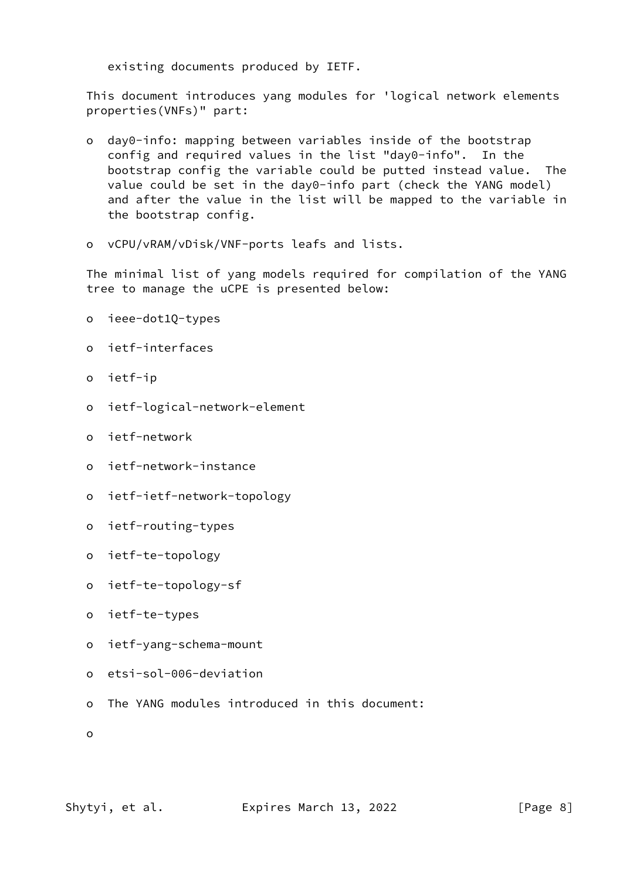existing documents produced by IETF.

 This document introduces yang modules for 'logical network elements properties(VNFs)" part:

- o day0-info: mapping between variables inside of the bootstrap config and required values in the list "day0-info". In the bootstrap config the variable could be putted instead value. The value could be set in the day0-info part (check the YANG model) and after the value in the list will be mapped to the variable in the bootstrap config.
- o vCPU/vRAM/vDisk/VNF-ports leafs and lists.

 The minimal list of yang models required for compilation of the YANG tree to manage the uCPE is presented below:

- o ieee-dot1Q-types
- o ietf-interfaces
- o ietf-ip
- o ietf-logical-network-element
- o ietf-network
- o ietf-network-instance
- o ietf-ietf-network-topology
- o ietf-routing-types
- o ietf-te-topology
- o ietf-te-topology-sf
- o ietf-te-types
- o ietf-yang-schema-mount
- o etsi-sol-006-deviation
- o The YANG modules introduced in this document:
- o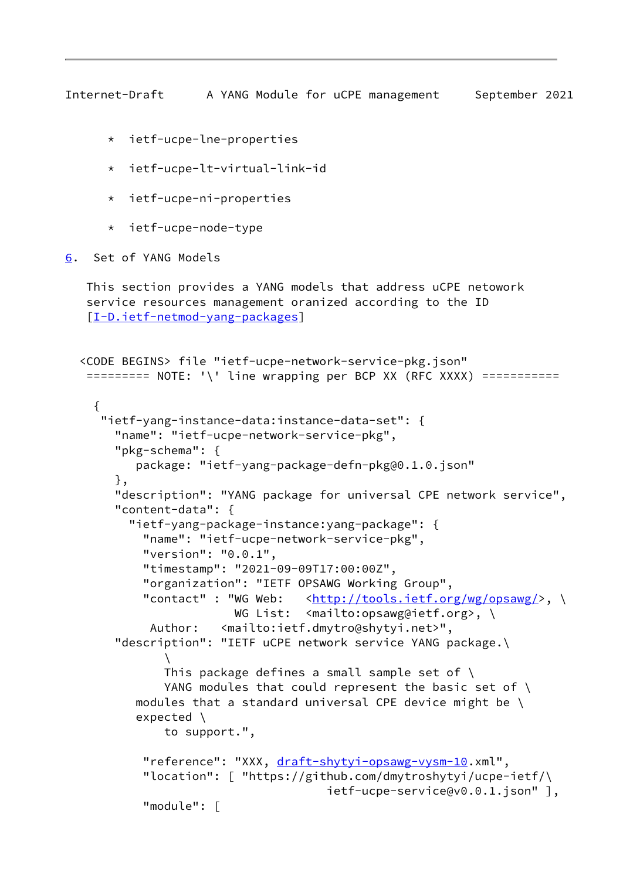- <span id="page-9-1"></span>\* ietf-ucpe-lne-properties
- \* ietf-ucpe-lt-virtual-link-id
- \* ietf-ucpe-ni-properties
- \* ietf-ucpe-node-type
- <span id="page-9-0"></span>[6](#page-9-0). Set of YANG Models

 This section provides a YANG models that address uCPE netowork service resources management oranized according to the ID [\[I-D.ietf-netmod-yang-packages](#page-18-3)]

```
 <CODE BEGINS> file "ietf-ucpe-network-service-pkg.json"
    ========= NOTE: '\' line wrapping per BCP XX (RFC XXXX) ===========
     {
      "ietf-yang-instance-data:instance-data-set": {
        "name": "ietf-ucpe-network-service-pkg",
        "pkg-schema": {
           package: "ietf-yang-package-defn-pkg@0.1.0.json"
        },
        "description": "YANG package for universal CPE network service",
        "content-data": {
          "ietf-yang-package-instance:yang-package": {
            "name": "ietf-ucpe-network-service-pkg",
            "version": "0.0.1",
            "timestamp": "2021-09-09T17:00:00Z",
            "organization": "IETF OPSAWG Working Group",
           "contact" : "WG Web: \langle \frac{\text{http://tools.ietf.org/wg/opsawg/}}{\text{?}} \rangle, \
                         WG List: <mailto:opsawg@ietf.org>, \
             Author: <mailto:ietf.dmytro@shytyi.net>",
        "description": "IETF uCPE network service YANG package.\
\sqrt{ }This package defines a small sample set of \setminusYANG modules that could represent the basic set of \
          modules that a standard universal CPE device might be \setminus expected \
               to support.",
           draft-shytyi-opsawg-vysm-10.xml",
            "location": [ "https://github.com/dmytroshytyi/ucpe-ietf/\
                                       ietf-ucpe-service@v0.0.1.json" ],
            "module": [
```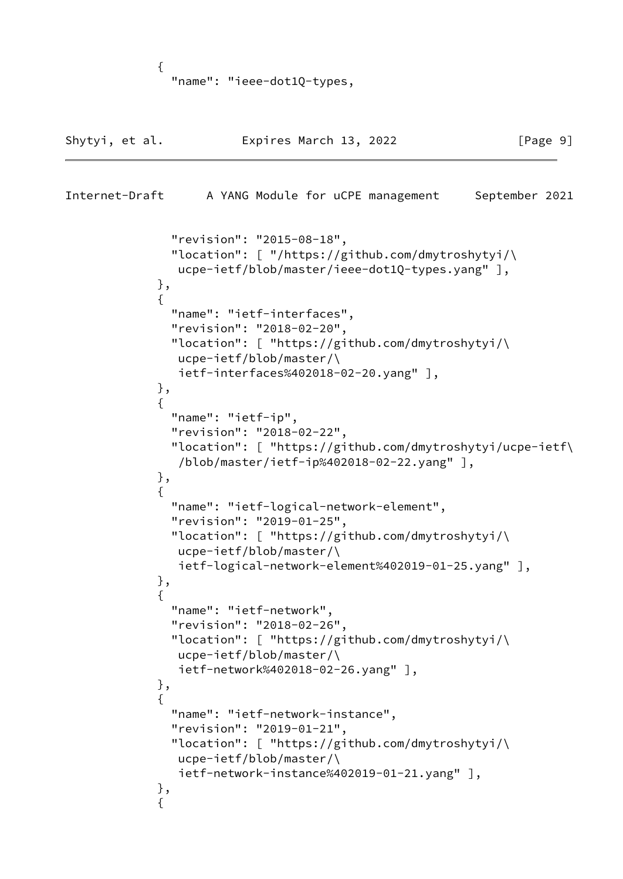```
\{ "name": "ieee-dot1Q-types,
```

```
Shytyi, et al. Expires March 13, 2022 [Page 9]
Internet-Draft A YANG Module for uCPE management September 2021
               "revision": "2015-08-18",
               "location": [ "/https://github.com/dmytroshytyi/\
                ucpe-ietf/blob/master/ieee-dot1Q-types.yang" ],
             },
\{ "name": "ietf-interfaces",
               "revision": "2018-02-20",
               "location": [ "https://github.com/dmytroshytyi/\
                ucpe-ietf/blob/master/\
                ietf-interfaces%402018-02-20.yang" ],
             },
\{ "name": "ietf-ip",
               "revision": "2018-02-22",
               "location": [ "https://github.com/dmytroshytyi/ucpe-ietf\
                /blob/master/ietf-ip%402018-02-22.yang" ],
             },
\{ "name": "ietf-logical-network-element",
               "revision": "2019-01-25",
               "location": [ "https://github.com/dmytroshytyi/\
                ucpe-ietf/blob/master/\
                ietf-logical-network-element%402019-01-25.yang" ],
             },
\{ "name": "ietf-network",
               "revision": "2018-02-26",
               "location": [ "https://github.com/dmytroshytyi/\
                ucpe-ietf/blob/master/\
                ietf-network%402018-02-26.yang" ],
             },
\{ "name": "ietf-network-instance",
               "revision": "2019-01-21",
               "location": [ "https://github.com/dmytroshytyi/\
                ucpe-ietf/blob/master/\
                ietf-network-instance%402019-01-21.yang" ],
             },
\{
```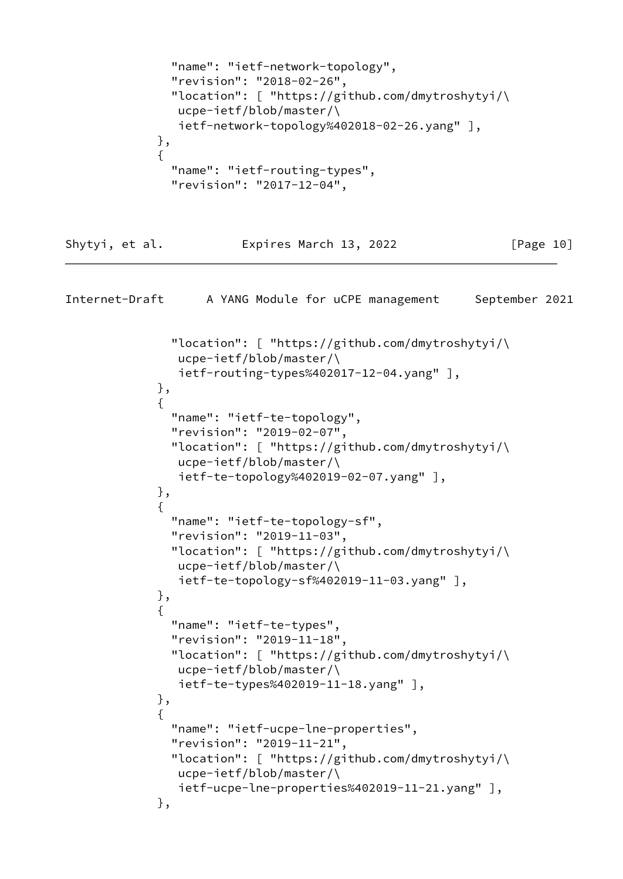```
 "name": "ietf-network-topology",
               "revision": "2018-02-26",
               "location": [ "https://github.com/dmytroshytyi/\
                ucpe-ietf/blob/master/\
                ietf-network-topology%402018-02-26.yang" ],
             },
\{ "name": "ietf-routing-types",
               "revision": "2017-12-04",
Shytyi, et al. Expires March 13, 2022 [Page 10]
Internet-Draft A YANG Module for uCPE management September 2021
               "location": [ "https://github.com/dmytroshytyi/\
                ucpe-ietf/blob/master/\
                ietf-routing-types%402017-12-04.yang" ],
             },
\{ "name": "ietf-te-topology",
               "revision": "2019-02-07",
               "location": [ "https://github.com/dmytroshytyi/\
                ucpe-ietf/blob/master/\
                ietf-te-topology%402019-02-07.yang" ],
             },
\{ "name": "ietf-te-topology-sf",
               "revision": "2019-11-03",
               "location": [ "https://github.com/dmytroshytyi/\
                ucpe-ietf/blob/master/\
                ietf-te-topology-sf%402019-11-03.yang" ],
             },
\{ "name": "ietf-te-types",
               "revision": "2019-11-18",
               "location": [ "https://github.com/dmytroshytyi/\
                ucpe-ietf/blob/master/\
                ietf-te-types%402019-11-18.yang" ],
             },
\{ "name": "ietf-ucpe-lne-properties",
               "revision": "2019-11-21",
               "location": [ "https://github.com/dmytroshytyi/\
                ucpe-ietf/blob/master/\
                ietf-ucpe-lne-properties%402019-11-21.yang" ],
             },
```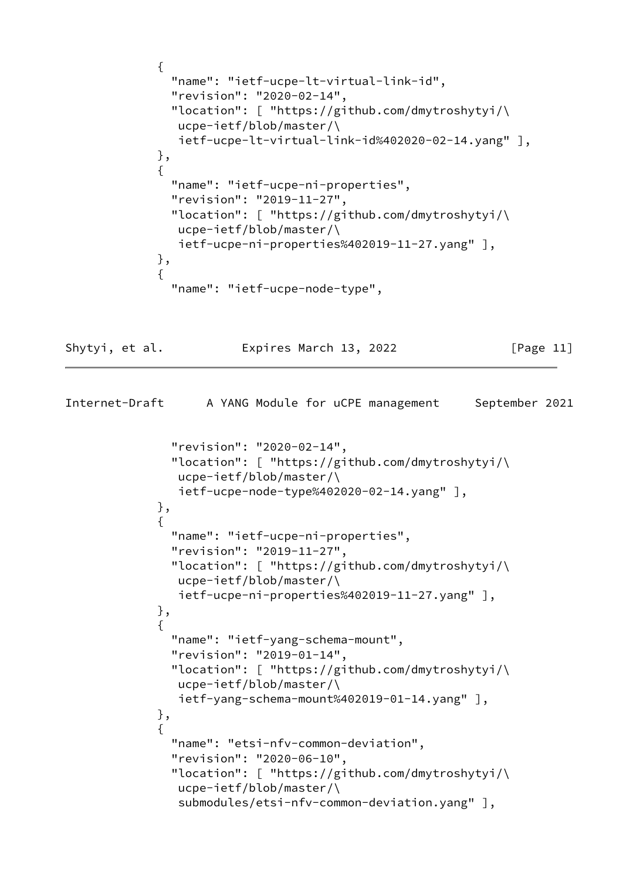```
\{ "name": "ietf-ucpe-lt-virtual-link-id",
               "revision": "2020-02-14",
               "location": [ "https://github.com/dmytroshytyi/\
                ucpe-ietf/blob/master/\
                ietf-ucpe-lt-virtual-link-id%402020-02-14.yang" ],
             },
\{ "name": "ietf-ucpe-ni-properties",
               "revision": "2019-11-27",
               "location": [ "https://github.com/dmytroshytyi/\
                ucpe-ietf/blob/master/\
                ietf-ucpe-ni-properties%402019-11-27.yang" ],
             },
\{ "name": "ietf-ucpe-node-type",
```
Shytyi, et al. Expires March 13, 2022 [Page 11]

```
Internet-Draft A YANG Module for uCPE management September 2021
               "revision": "2020-02-14",
               "location": [ "https://github.com/dmytroshytyi/\
                ucpe-ietf/blob/master/\
                ietf-ucpe-node-type%402020-02-14.yang" ],
             },
\{ "name": "ietf-ucpe-ni-properties",
               "revision": "2019-11-27",
               "location": [ "https://github.com/dmytroshytyi/\
                ucpe-ietf/blob/master/\
                ietf-ucpe-ni-properties%402019-11-27.yang" ],
             },
\{ "name": "ietf-yang-schema-mount",
               "revision": "2019-01-14",
               "location": [ "https://github.com/dmytroshytyi/\
                ucpe-ietf/blob/master/\
                ietf-yang-schema-mount%402019-01-14.yang" ],
             },
\{ "name": "etsi-nfv-common-deviation",
               "revision": "2020-06-10",
               "location": [ "https://github.com/dmytroshytyi/\
                ucpe-ietf/blob/master/\
                submodules/etsi-nfv-common-deviation.yang" ],
```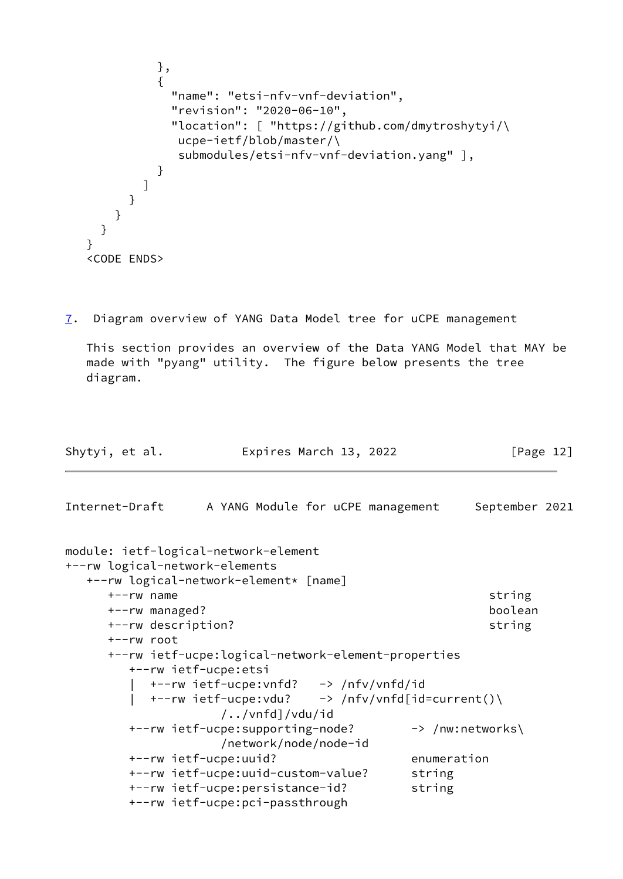```
 },
\{ "name": "etsi-nfv-vnf-deviation",
               "revision": "2020-06-10",
               "location": [ "https://github.com/dmytroshytyi/\
                ucpe-ietf/blob/master/\
                submodules/etsi-nfv-vnf-deviation.yang" ],
 }
           ]
         }
       }
     }
   }
   <CODE ENDS>
```
<span id="page-13-0"></span>[7](#page-13-0). Diagram overview of YANG Data Model tree for uCPE management

 This section provides an overview of the Data YANG Model that MAY be made with "pyang" utility. The figure below presents the tree diagram.

```
Shytyi, et al.             Expires March 13, 2022               [Page 12]
Internet-Draft A YANG Module for uCPE management September 2021
module: ietf-logical-network-element
+--rw logical-network-elements
   +--rw logical-network-element* [name]
      +--rw name string
      +--rw managed? boolean
     +--rw description? string
      +--rw root
      +--rw ietf-ucpe:logical-network-element-properties
        +--rw ietf-ucpe:etsi
          | +--rw ietf-ucpe:vnfd? -> /nfv/vnfd/id
       | +-rw ietf-ucpe:vdu? \rightarrow /nfv/vnfd[id=current()\
                   /../vnfd]/vdu/id
       +--rw ietf-ucpe:supporting-node? -> /nw:networks\
                   /network/node/node-id
        +--rw ietf-ucpe:uuid? enumeration
        +--rw ietf-ucpe:uuid-custom-value? string
       +--rw ietf-ucpe:persistance-id? string
        +--rw ietf-ucpe:pci-passthrough
```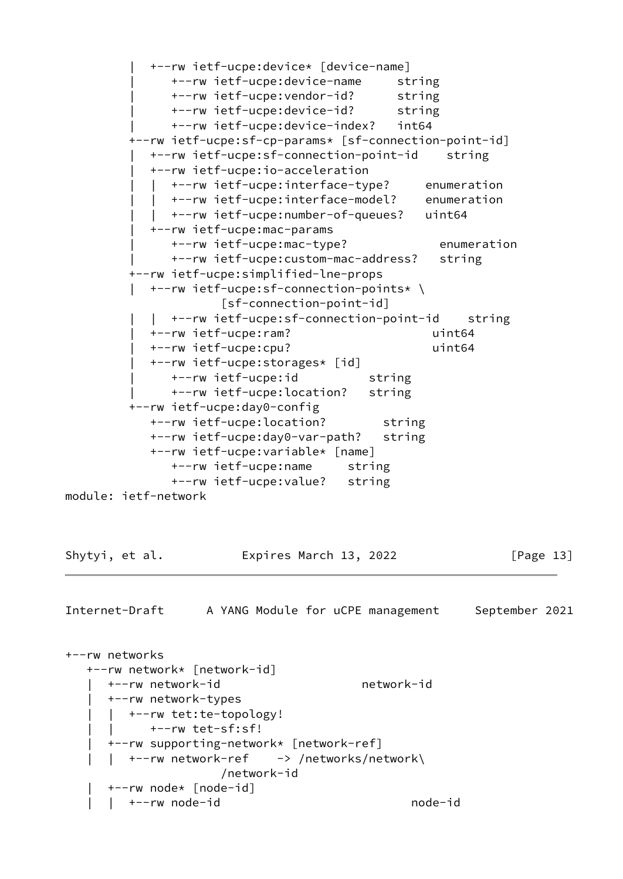| +--rw ietf-ucpe:device\* [device-name] | +--rw ietf-ucpe:device-name string | +--rw ietf-ucpe:vendor-id? string | +--rw ietf-ucpe:device-id? string | +--rw ietf-ucpe:device-index? int64 +--rw ietf-ucpe:sf-cp-params\* [sf-connection-point-id] | +--rw ietf-ucpe:sf-connection-point-id string | +--rw ietf-ucpe:io-acceleration | | +--rw ietf-ucpe:interface-type? enumeration | | +--rw ietf-ucpe:interface-model? enumeration | | +--rw ietf-ucpe:number-of-queues? uint64 | +--rw ietf-ucpe:mac-params | +--rw ietf-ucpe:mac-type? enumeration | +--rw ietf-ucpe:custom-mac-address? string +--rw ietf-ucpe:simplified-lne-props | +--rw ietf-ucpe:sf-connection-points\* \ [sf-connection-point-id] | | +--rw ietf-ucpe:sf-connection-point-id string | +--rw ietf-ucpe:ram? uint64 | +--rw ietf-ucpe:cpu? uint64 | +--rw ietf-ucpe:storages\* [id] | +--rw ietf-ucpe:id string | +--rw ietf-ucpe:location? string +--rw ietf-ucpe:day0-config +--rw ietf-ucpe:location? string +--rw ietf-ucpe:day0-var-path? string +--rw ietf-ucpe:variable\* [name] +--rw ietf-ucpe:name string +--rw ietf-ucpe:value? string module: ietf-network Shytyi, et al. **Expires March 13, 2022** [Page 13] Internet-Draft A YANG Module for uCPE management September 2021 +--rw networks +--rw network\* [network-id] | +--rw network-id network-id | +--rw network-types | +--rw tet:te-topology! | | +--rw tet-sf:sf! | +--rw supporting-network\* [network-ref] | | +--rw network-ref -> /networks/network\ /network-id | +--rw node\* [node-id] | | +--rw node-id node-id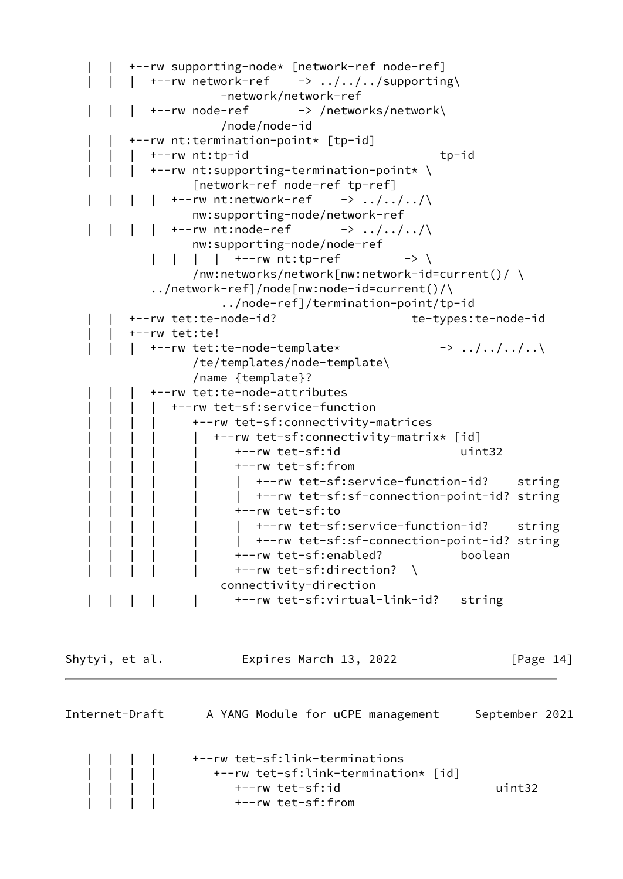```
 | | +--rw supporting-node* [network-ref node-ref]
            +--rw network-ref \rightarrow ../../../supporting\
                        -network/network-ref
             | | | +--rw node-ref -> /networks/network\
                        /node/node-id
          | | +--rw nt:termination-point* [tp-id]
             | | | +--rw nt:tp-id tp-id
             | | | +--rw nt:supporting-termination-point* \
                    [network-ref node-ref tp-ref]
               +--rw nt:network-ref \rightarrow ../../../\
                   nw:supporting-node/network-ref
   \vert \vert \vert \vert \vert +--rw nt:node-ref -> ../../../\
                   nw:supporting-node/node-ref
              | | | | +--rw nt:tp-ref -> \
                    /nw:networks/network[nw:network-id=current()/ \
              ../network-ref]/node[nw:node-id=current()/\
                        ../node-ref]/termination-point/tp-id
          | | +--rw tet:te-node-id? te-types:te-node-id
          | | +--rw tet:te!
            +--rw tet:te-node-template* -> ../../../..\
                    /te/templates/node-template\
                    /name {template}?
             | | | +--rw tet:te-node-attributes
                | | | | +--rw tet-sf:service-function
                    | | | | +--rw tet-sf:connectivity-matrices
                       | | | | | +--rw tet-sf:connectivity-matrix* [id]
                          | | | | | +--rw tet-sf:id uint32
                          | | | | | +--rw tet-sf:from
                            +--rw tet-sf:service-function-id? string
                             | | | | | | +--rw tet-sf:sf-connection-point-id? string
                          | | | | | +--rw tet-sf:to
                             | | | | | | +--rw tet-sf:service-function-id? string
                             | | | | | | +--rw tet-sf:sf-connection-point-id? string
                          | | | | | +--rw tet-sf:enabled? boolean
                         +--rw tet-sf:direction? \
                        connectivity-direction
         | | | | +--rw tet-sf:virtual-link-id? string
Shytyi, et al. Expires March 13, 2022 [Page 14]
```

| Internet-Draft | A YANG Module for uCPE management                                                                             | September 2021 |
|----------------|---------------------------------------------------------------------------------------------------------------|----------------|
|                | +--rw tet-sf:link-terminations<br>+--rw tet-sf:link-termination* [id]<br>+--rw tet-sf:id<br>+--rw tet-sf:from | uint32         |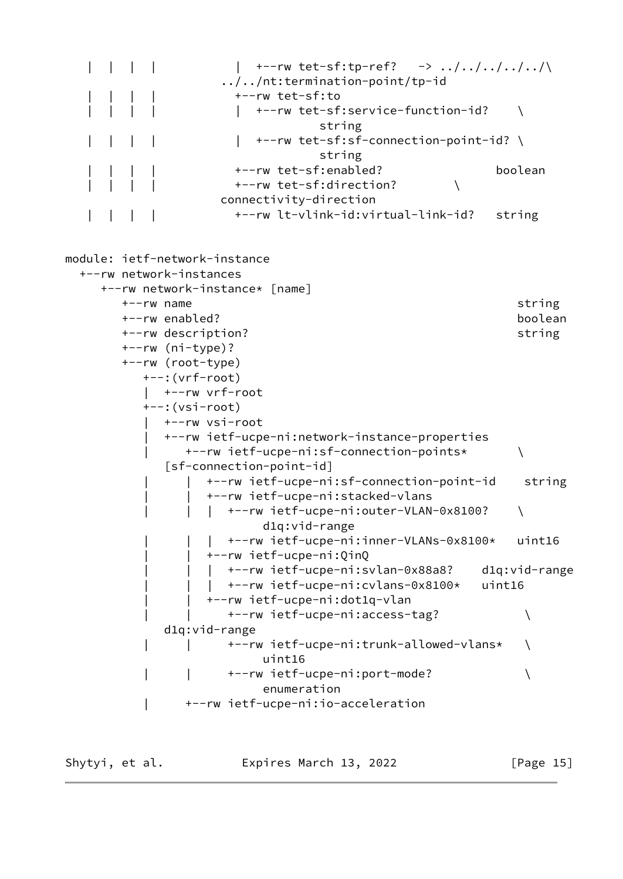|  | +--rw tet-sf:tp-ref? $\rightarrow$ /////\<br>$\ldots/\ldots$ /nt:termination-point/tp-id |                   |
|--|------------------------------------------------------------------------------------------|-------------------|
|  | +--rw tet-sf:to                                                                          |                   |
|  | +--rw tet-sf:service-function-id?<br>string                                              |                   |
|  | +--rw tet-sf:sf-connection-point-id? \                                                   |                   |
|  | string                                                                                   |                   |
|  | +--rw tet-sf:enabled?                                                                    | boolean           |
|  | +--rw tet-sf:direction?                                                                  |                   |
|  | connectivity-direction                                                                   |                   |
|  | +--rw lt-vlink-id:virtual-link-id?                                                       | string            |
|  |                                                                                          |                   |
|  | module: ietf-network-instance<br>+--rw network-instances                                 |                   |
|  | +--rw network-instance* [name]                                                           |                   |
|  | $+--rw$ name                                                                             |                   |
|  | +--rw enabled?                                                                           | string<br>boolean |
|  | +--rw description?                                                                       | string            |
|  | $+--rw$ ( $ni-type$ )?                                                                   |                   |
|  | +--rw (root-type)                                                                        |                   |
|  | $+-::(vrf-root)$                                                                         |                   |
|  | +--rw vrf-root                                                                           |                   |
|  | $---: (vsi-root)$                                                                        |                   |
|  | +--rw vsi-root                                                                           |                   |
|  | +--rw ietf-ucpe-ni:network-instance-properties                                           |                   |
|  | +--rw ietf-ucpe-ni:sf-connection-points*                                                 |                   |
|  | [sf-connection-point-id]                                                                 |                   |
|  | +--rw ietf-ucpe-ni:sf-connection-point-id                                                | string            |
|  | +--rw ietf-ucpe-ni:stacked-vlans                                                         |                   |
|  | +--rw ietf-ucpe-ni:outer-VLAN-0x8100?                                                    |                   |
|  | $dlq:vid-range$                                                                          |                   |
|  | +--rw ietf-ucpe-ni:inner-VLANs-0x8100*                                                   | uint16            |
|  | +--rw ietf-ucpe-ni:QinQ                                                                  |                   |
|  | +--rw ietf-ucpe-ni:svlan-0x88a8?                                                         | d1q:vid-range     |
|  | +--rw ietf-ucpe-ni:cvlans-0x8100*                                                        | uint16            |
|  | +--rw ietf-ucpe-ni:dot1q-vlan                                                            |                   |
|  | +--rw ietf-ucpe-ni:access-tag?                                                           |                   |
|  | $d1q:vid-range$                                                                          |                   |
|  | +--rw ietf-ucpe-ni:trunk-allowed-vlans*                                                  |                   |
|  | uint16                                                                                   |                   |
|  | +--rw ietf-ucpe-ni:port-mode?                                                            |                   |
|  | enumeration                                                                              |                   |
|  | +--rw ietf-ucpe-ni:io-acceleration                                                       |                   |
|  |                                                                                          |                   |

Shytyi, et al. **Expires March 13, 2022** [Page 15]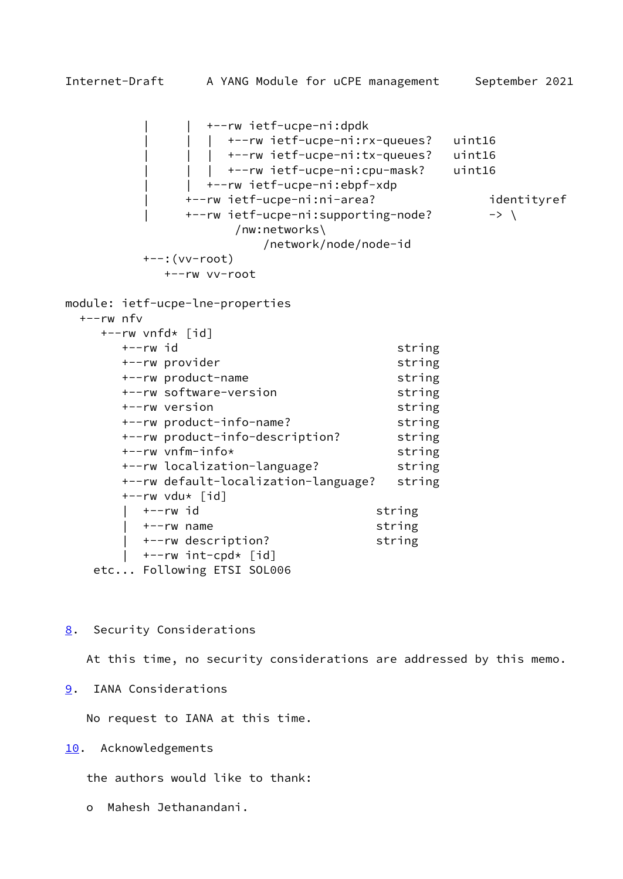<span id="page-17-1"></span> | | +--rw ietf-ucpe-ni:dpdk | | | +--rw ietf-ucpe-ni:rx-queues? uint16 | +--rw ietf-ucpe-ni:tx-queues? uint16 | | | +--rw ietf-ucpe-ni:cpu-mask? uint16 | | +--rw ietf-ucpe-ni:ebpf-xdp | +--rw ietf-ucpe-ni:ni-area? identityref +--rw ietf-ucpe-ni:supporting-node? -> \ /nw:networks\ /network/node/node-id +--:(vv-root) +--rw vv-root module: ietf-ucpe-lne-properties +--rw nfv +--rw vnfd\* [id] +--rw id string +--rw provider string +--rw product-name string +--rw software-version string +--rw version string +--rw product-info-name? string +--rw product-info-description? string +--rw vnfm-info\* string +--rw localization-language? string +--rw default-localization-language? string  $+--rw$  vdu\*  $\lceil id \rceil$ +--rw id string | +--rw name string | +--rw description? string | +--rw int-cpd\* [id]

etc... Following ETSI SOL006

<span id="page-17-0"></span>[8](#page-17-0). Security Considerations

At this time, no security considerations are addressed by this memo.

<span id="page-17-2"></span>[9](#page-17-2). IANA Considerations

No request to IANA at this time.

<span id="page-17-3"></span>[10.](#page-17-3) Acknowledgements

the authors would like to thank:

o Mahesh Jethanandani.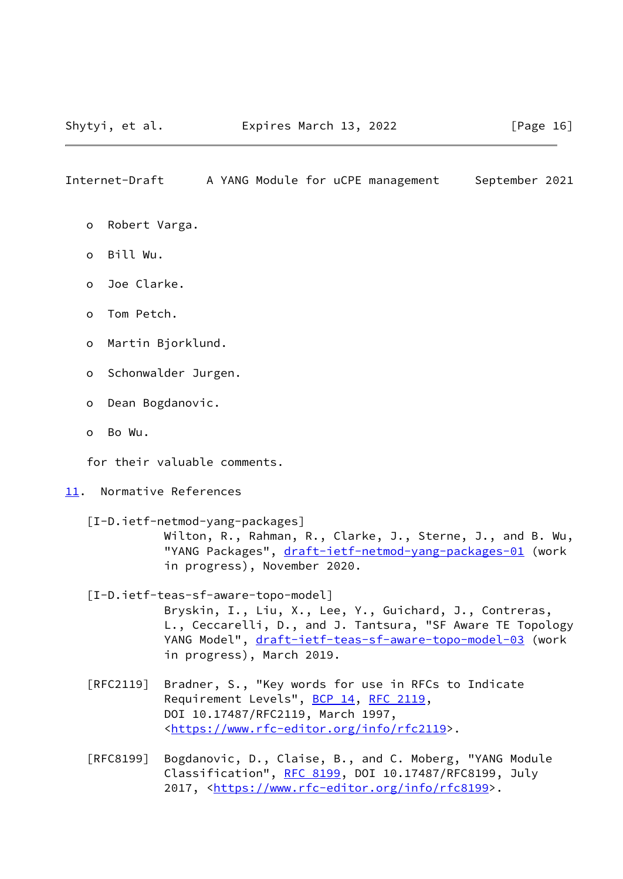- <span id="page-18-1"></span>o Robert Varga.
- o Bill Wu.
- o Joe Clarke.
- o Tom Petch.
- o Martin Bjorklund.
- o Schonwalder Jurgen.
- o Dean Bogdanovic.
- o Bo Wu.

for their valuable comments.

#### <span id="page-18-0"></span>[11.](#page-18-0) Normative References

<span id="page-18-3"></span> [I-D.ietf-netmod-yang-packages] Wilton, R., Rahman, R., Clarke, J., Sterne, J., and B. Wu, "YANG Packages", [draft-ietf-netmod-yang-packages-01](https://datatracker.ietf.org/doc/pdf/draft-ietf-netmod-yang-packages-01) (work in progress), November 2020.

# <span id="page-18-2"></span> [I-D.ietf-teas-sf-aware-topo-model] Bryskin, I., Liu, X., Lee, Y., Guichard, J., Contreras, L., Ceccarelli, D., and J. Tantsura, "SF Aware TE Topology YANG Model", [draft-ietf-teas-sf-aware-topo-model-03](https://datatracker.ietf.org/doc/pdf/draft-ietf-teas-sf-aware-topo-model-03) (work in progress), March 2019.

- [RFC2119] Bradner, S., "Key words for use in RFCs to Indicate Requirement Levels", [BCP 14](https://datatracker.ietf.org/doc/pdf/bcp14), [RFC 2119](https://datatracker.ietf.org/doc/pdf/rfc2119), DOI 10.17487/RFC2119, March 1997, <[https://www.rfc-editor.org/info/rfc2119>](https://www.rfc-editor.org/info/rfc2119).
- [RFC8199] Bogdanovic, D., Claise, B., and C. Moberg, "YANG Module Classification", [RFC 8199,](https://datatracker.ietf.org/doc/pdf/rfc8199) DOI 10.17487/RFC8199, July 2017, [<https://www.rfc-editor.org/info/rfc8199](https://www.rfc-editor.org/info/rfc8199)>.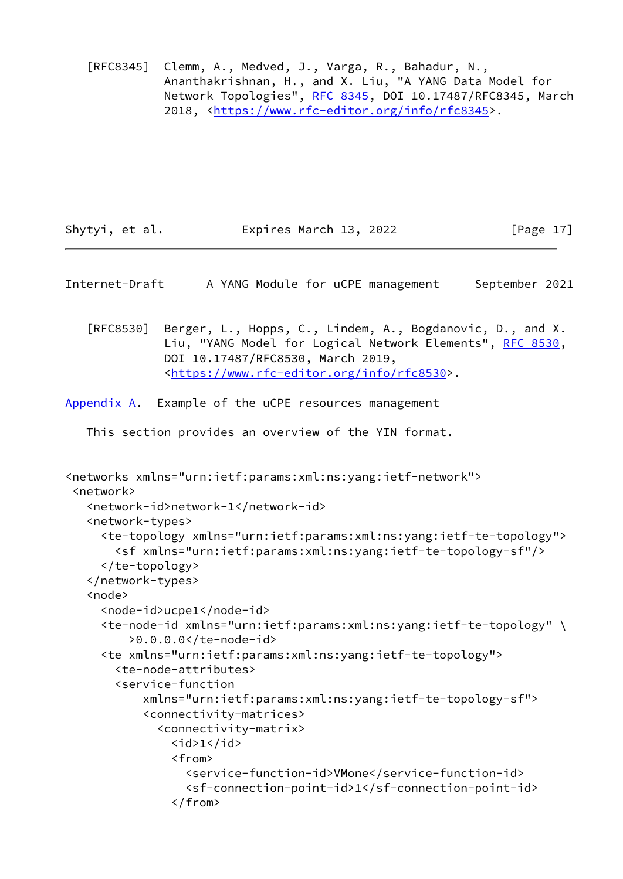[RFC8345] Clemm, A., Medved, J., Varga, R., Bahadur, N., Ananthakrishnan, H., and X. Liu, "A YANG Data Model for Network Topologies", [RFC 8345](https://datatracker.ietf.org/doc/pdf/rfc8345), DOI 10.17487/RFC8345, March 2018, [<https://www.rfc-editor.org/info/rfc8345](https://www.rfc-editor.org/info/rfc8345)>.

| Shytyi, et al. | Expires March 13, 2022 | [Page $17$ ] |
|----------------|------------------------|--------------|
|                |                        |              |

- <span id="page-19-1"></span>Internet-Draft A YANG Module for uCPE management September 2021
	- [RFC8530] Berger, L., Hopps, C., Lindem, A., Bogdanovic, D., and X. Liu, "YANG Model for Logical Network Elements", [RFC 8530,](https://datatracker.ietf.org/doc/pdf/rfc8530) DOI 10.17487/RFC8530, March 2019, <[https://www.rfc-editor.org/info/rfc8530>](https://www.rfc-editor.org/info/rfc8530).

<span id="page-19-0"></span>[Appendix A.](#page-19-0) Example of the uCPE resources management

This section provides an overview of the YIN format.

```
<networks xmlns="urn:ietf:params:xml:ns:yang:ietf-network">
 <network>
    <network-id>network-1</network-id>
    <network-types>
      <te-topology xmlns="urn:ietf:params:xml:ns:yang:ietf-te-topology">
        <sf xmlns="urn:ietf:params:xml:ns:yang:ietf-te-topology-sf"/>
      </te-topology>
    </network-types>
    <node>
      <node-id>ucpe1</node-id>
      <te-node-id xmlns="urn:ietf:params:xml:ns:yang:ietf-te-topology" \
          >0.0.0.0</te-node-id>
      <te xmlns="urn:ietf:params:xml:ns:yang:ietf-te-topology">
        <te-node-attributes>
        <service-function
            xmlns="urn:ietf:params:xml:ns:yang:ietf-te-topology-sf">
            <connectivity-matrices>
              <connectivity-matrix>

                <from>
                  <service-function-id>VMone</service-function-id>
                  <sf-connection-point-id>1</sf-connection-point-id>
                </from>
```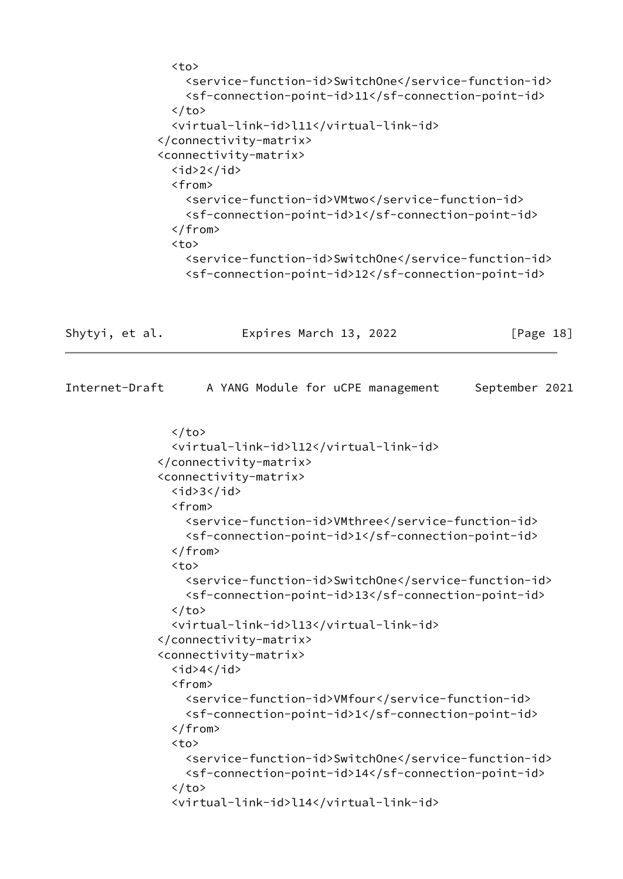```
 <to>
     <service-function-id>SwitchOne</service-function-id>
     <sf-connection-point-id>11</sf-connection-point-id>
  \langle/to>
   <virtual-link-id>l11</virtual-link-id>
 </connectivity-matrix>
 <connectivity-matrix>
  \langleid>2\langleid>
   <from>
     <service-function-id>VMtwo</service-function-id>
     <sf-connection-point-id>1</sf-connection-point-id>
   </from>
   <to>
     <service-function-id>SwitchOne</service-function-id>
     <sf-connection-point-id>12</sf-connection-point-id>
```

| Shytyi, et al. | Expires March 13, 2022 | [Page 18] |
|----------------|------------------------|-----------|
|                |                        |           |

| Internet-Draft |                                             | A YANG Module for uCPE management |  | September 2021                                                                                              |  |
|----------------|---------------------------------------------|-----------------------------------|--|-------------------------------------------------------------------------------------------------------------|--|
|                | $\langle$ /to>                              |                                   |  |                                                                                                             |  |
|                | <virtual-link-id>l12</virtual-link-id>      |                                   |  |                                                                                                             |  |
|                |                                             |                                   |  |                                                                                                             |  |
|                | <connectivity-matrix></connectivity-matrix> |                                   |  |                                                                                                             |  |
|                | $<$ id>3 $<$ /id>                           |                                   |  |                                                                                                             |  |
|                | <from></from>                               |                                   |  |                                                                                                             |  |
|                |                                             |                                   |  | <service-function-id>VMthree</service-function-id><br><sf-connection-point-id>1</sf-connection-point-id>    |  |
|                | $\langle$ from>                             |                                   |  |                                                                                                             |  |
|                | <br><sub>to&gt;</sub>                       |                                   |  |                                                                                                             |  |
|                |                                             |                                   |  | <service-function-id>SwitchOne</service-function-id><br><sf-connection-point-id>13</sf-connection-point-id> |  |
|                | $\langle$ /to>                              |                                   |  |                                                                                                             |  |
|                | <virtual-link-id>l13</virtual-link-id>      |                                   |  |                                                                                                             |  |
|                |                                             |                                   |  |                                                                                                             |  |
|                | <connectivity-matrix></connectivity-matrix> |                                   |  |                                                                                                             |  |
|                | $\langle$ id>4 $\langle$ id>                |                                   |  |                                                                                                             |  |
|                | <from></from>                               |                                   |  |                                                                                                             |  |
|                |                                             |                                   |  | <service-function-id>VMfour</service-function-id><br><sf-connection-point-id>1</sf-connection-point-id>     |  |
|                | $\langle$ from>                             |                                   |  |                                                                                                             |  |
|                | <to></to>                                   |                                   |  |                                                                                                             |  |
|                |                                             |                                   |  | <service-function-id>SwitchOne</service-function-id><br><sf-connection-point-id>14</sf-connection-point-id> |  |
|                | $\langle$ /to>                              |                                   |  |                                                                                                             |  |
|                | <virtual-link-id>l14</virtual-link-id>      |                                   |  |                                                                                                             |  |
|                |                                             |                                   |  |                                                                                                             |  |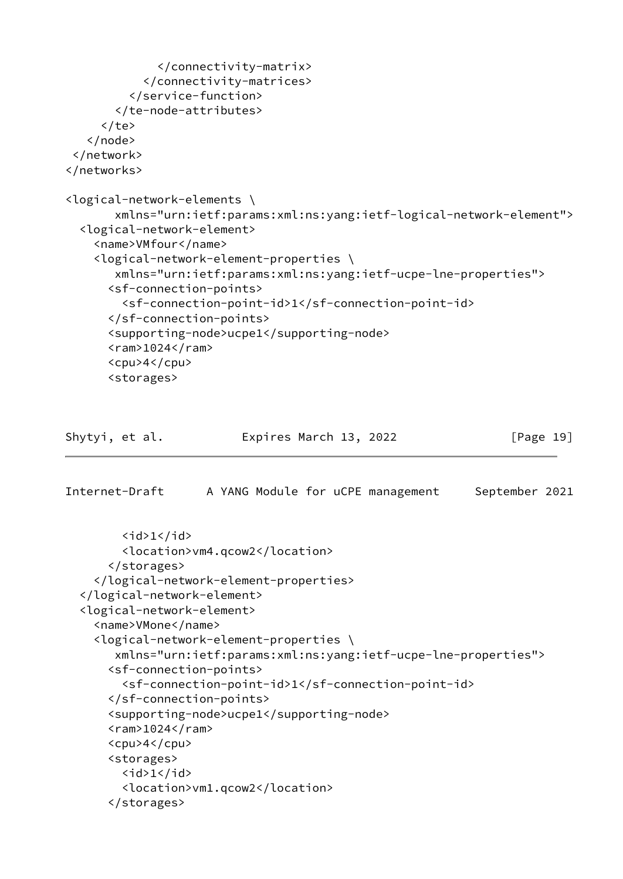```
 </connectivity-matrix>
            </connectivity-matrices>
          </service-function>
        </te-node-attributes>
     \langle/te>
    </node>
 </network>
</networks>
<logical-network-elements \
        xmlns="urn:ietf:params:xml:ns:yang:ietf-logical-network-element">
   <logical-network-element>
     <name>VMfour</name>
     <logical-network-element-properties \
        xmlns="urn:ietf:params:xml:ns:yang:ietf-ucpe-lne-properties">
       <sf-connection-points>
         <sf-connection-point-id>1</sf-connection-point-id>
       </sf-connection-points>
       <supporting-node>ucpe1</supporting-node>
      <ram>1024</ram> <cpu>4</cpu>
       <storages>
```
Shytyi, et al. **Expires March 13, 2022** [Page 19]

```
<id>1</id>
       <location>vm4.qcow2</location>
     </storages>
   </logical-network-element-properties>
 </logical-network-element>
 <logical-network-element>
  <name>VMone</name>
   <logical-network-element-properties \
      xmlns="urn:ietf:params:xml:ns:yang:ietf-ucpe-lne-properties">
     <sf-connection-points>
       <sf-connection-point-id>1</sf-connection-point-id>
     </sf-connection-points>
     <supporting-node>ucpe1</supporting-node>
    <ram>1024</ram>
     <cpu>4</cpu>
     <storages>
      <id>1</id>
       <location>vm1.qcow2</location>
     </storages>
```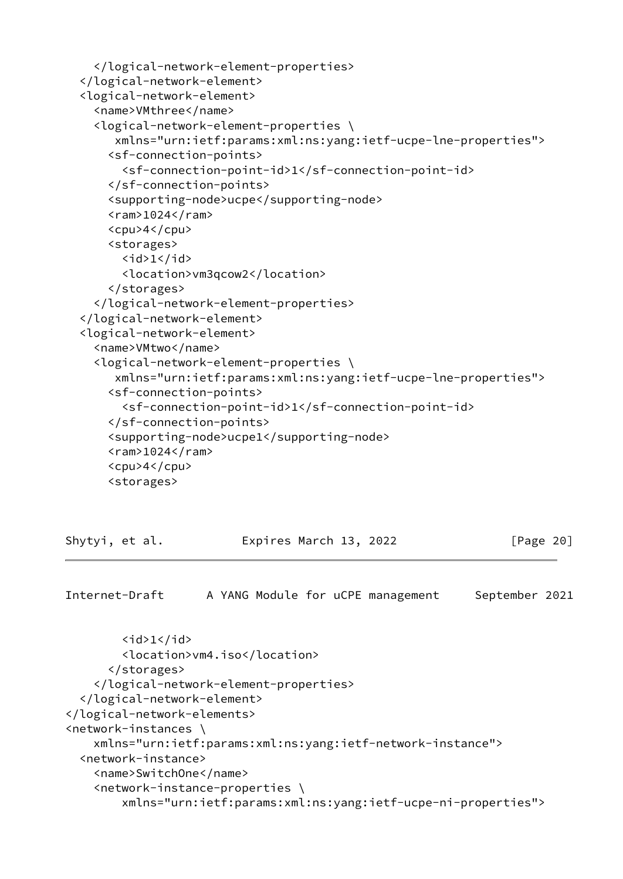```
 </logical-network-element-properties>
 </logical-network-element>
 <logical-network-element>
   <name>VMthree</name>
   <logical-network-element-properties \
      xmlns="urn:ietf:params:xml:ns:yang:ietf-ucpe-lne-properties">
     <sf-connection-points>
       <sf-connection-point-id>1</sf-connection-point-id>
     </sf-connection-points>
     <supporting-node>ucpe</supporting-node>
    <ram>1024</ram>
     <cpu>4</cpu>
     <storages>
      \langleid>1</id>
       <location>vm3qcow2</location>
     </storages>
   </logical-network-element-properties>
 </logical-network-element>
 <logical-network-element>
   <name>VMtwo</name>
   <logical-network-element-properties \
      xmlns="urn:ietf:params:xml:ns:yang:ietf-ucpe-lne-properties">
     <sf-connection-points>
       <sf-connection-point-id>1</sf-connection-point-id>
     </sf-connection-points>
     <supporting-node>ucpe1</supporting-node>
    <ram>1024</ram> <cpu>4</cpu>
     <storages>
```
<span id="page-22-0"></span>

| Shytyi, et al. | Expires March 13, 2022 | [Page 20] |
|----------------|------------------------|-----------|
|                |                        |           |

```
\langleid>1</id>
         <location>vm4.iso</location>
       </storages>
     </logical-network-element-properties>
   </logical-network-element>
</logical-network-elements>
<network-instances \
     xmlns="urn:ietf:params:xml:ns:yang:ietf-network-instance">
   <network-instance>
     <name>SwitchOne</name>
     <network-instance-properties \
         xmlns="urn:ietf:params:xml:ns:yang:ietf-ucpe-ni-properties">
```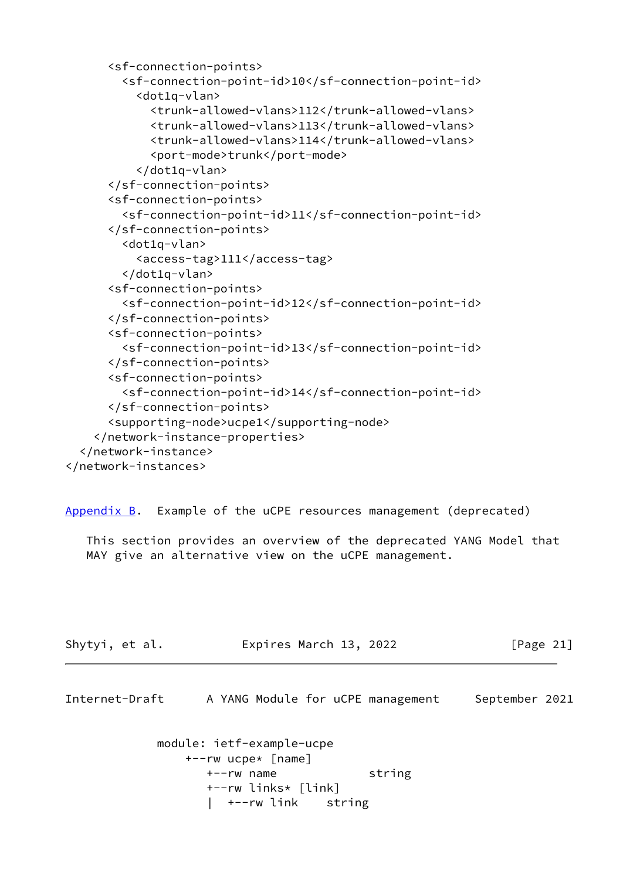```
 <sf-connection-points>
         <sf-connection-point-id>10</sf-connection-point-id>
           <dot1q-vlan>
             <trunk-allowed-vlans>112</trunk-allowed-vlans>
             <trunk-allowed-vlans>113</trunk-allowed-vlans>
             <trunk-allowed-vlans>114</trunk-allowed-vlans>
             <port-mode>trunk</port-mode>
           </dot1q-vlan>
       </sf-connection-points>
       <sf-connection-points>
         <sf-connection-point-id>11</sf-connection-point-id>
       </sf-connection-points>
         <dot1q-vlan>
           <access-tag>111</access-tag>
         </dot1q-vlan>
       <sf-connection-points>
         <sf-connection-point-id>12</sf-connection-point-id>
       </sf-connection-points>
       <sf-connection-points>
         <sf-connection-point-id>13</sf-connection-point-id>
       </sf-connection-points>
       <sf-connection-points>
         <sf-connection-point-id>14</sf-connection-point-id>
       </sf-connection-points>
       <supporting-node>ucpe1</supporting-node>
     </network-instance-properties>
   </network-instance>
</network-instances>
```
<span id="page-23-0"></span>[Appendix B.](#page-23-0) Example of the uCPE resources management (deprecated)

 This section provides an overview of the deprecated YANG Model that MAY give an alternative view on the uCPE management.

<span id="page-23-1"></span>

| Shytyi, et al. | Expires March 13, 2022 | [Page 21] |
|----------------|------------------------|-----------|
|                |                        |           |

```
 module: ietf-example-ucpe
    +--rw ucpe* [name]
       +--rw name string
       +--rw links* [link]
       | +--rw link string
```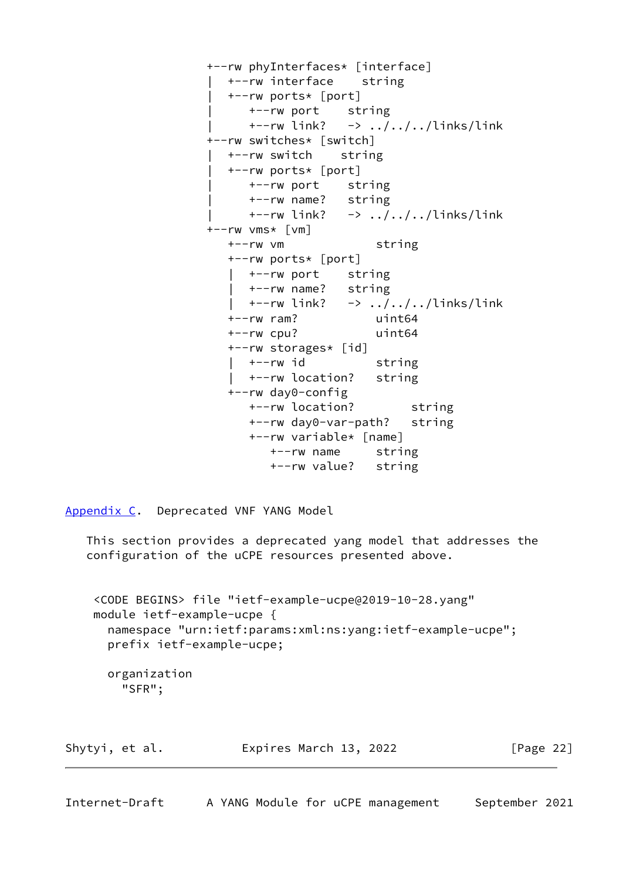```
 +--rw phyInterfaces* [interface]
   | +--rw interface string
   | +--rw ports* [port]
      | +--rw port string
 | +--rw link? -> ../../../links/link
 +--rw switches* [switch]
   | +--rw switch string
   | +--rw ports* [port]
      | +--rw port string
      | +--rw name? string
     +--rw link? \rightarrow ../../../links/link
 +--rw vms* [vm]
   +--rw vm string
   +--rw ports* [port]
     | +--rw port string
      | +--rw name? string
     +--rw link? \rightarrow ../../../links/link
   +--rw ram? uint64
   +--rw cpu? uint64
   +--rw storages* [id]
    +--rw id string
      | +--rw location? string
   +--rw day0-config
      +--rw location? string
      +--rw day0-var-path? string
      +--rw variable* [name]
         +--rw name string
         +--rw value? string
```
<span id="page-24-0"></span>[Appendix C.](#page-24-0) Deprecated VNF YANG Model

 This section provides a deprecated yang model that addresses the configuration of the uCPE resources presented above.

```
 <CODE BEGINS> file "ietf-example-ucpe@2019-10-28.yang"
 module ietf-example-ucpe {
   namespace "urn:ietf:params:xml:ns:yang:ietf-example-ucpe";
  prefix ietf-example-ucpe;
   organization
     "SFR";
```

|  | [Page 22]              |  |
|--|------------------------|--|
|  | Expires March 13, 2022 |  |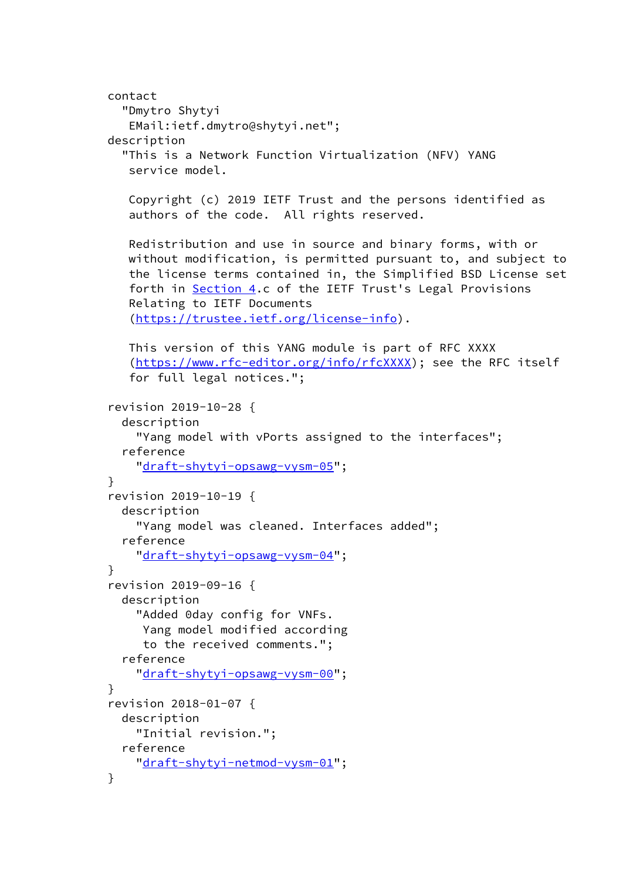```
 contact
   "Dmytro Shytyi
    EMail:ietf.dmytro@shytyi.net";
 description
   "This is a Network Function Virtualization (NFV) YANG
    service model.
    Copyright (c) 2019 IETF Trust and the persons identified as
    authors of the code. All rights reserved.
    Redistribution and use in source and binary forms, with or
    without modification, is permitted pursuant to, and subject to
    the license terms contained in, the Simplified BSD License set
    forth in Section 4.c of the IETF Trust's Legal Provisions
    Relating to IETF Documents
    (https://trustee.ietf.org/license-info).
    This version of this YANG module is part of RFC XXXX
    (https://www.rfc-editor.org/info/rfcXXXX); see the RFC itself
    for full legal notices.";
 revision 2019-10-28 {
   description
     "Yang model with vPorts assigned to the interfaces";
   reference
    "draft-shytyi-opsawg-vysm-05";
 }
 revision 2019-10-19 {
   description
     "Yang model was cleaned. Interfaces added";
   reference
     "draft-shytyi-opsawg-vysm-04";
 }
 revision 2019-09-16 {
   description
     "Added 0day config for VNFs.
      Yang model modified according
      to the received comments.";
   reference
    "draft-shytyi-opsawg-vysm-00";
 }
 revision 2018-01-07 {
   description
     "Initial revision.";
   reference
     "draft-shytyi-netmod-vysm-01";
 }
```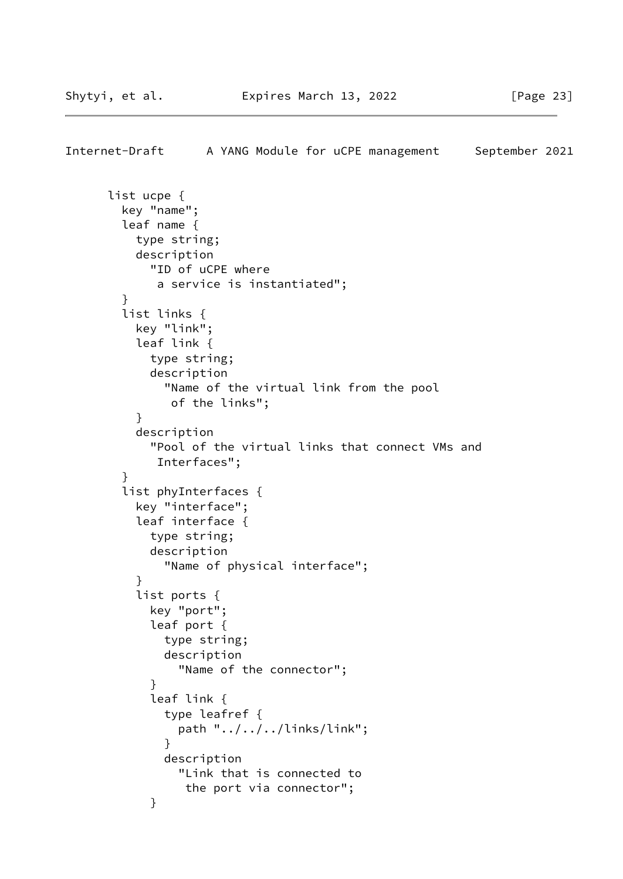```
Internet-Draft A YANG Module for uCPE management September 2021
       list ucpe {
        key "name";
        leaf name {
          type string;
          description
            "ID of uCPE where
             a service is instantiated";
         }
        list links {
          key "link";
          leaf link {
            type string;
            description
              "Name of the virtual link from the pool
               of the links";
 }
          description
            "Pool of the virtual links that connect VMs and
             Interfaces";
 }
        list phyInterfaces {
          key "interface";
          leaf interface {
            type string;
            description
               "Name of physical interface";
 }
           list ports {
            key "port";
            leaf port {
              type string;
              description
                "Name of the connector";
 }
            leaf link {
              type leafref {
                path "../../../links/link";
 }
              description
                "Link that is connected to
                 the port via connector";
 }
```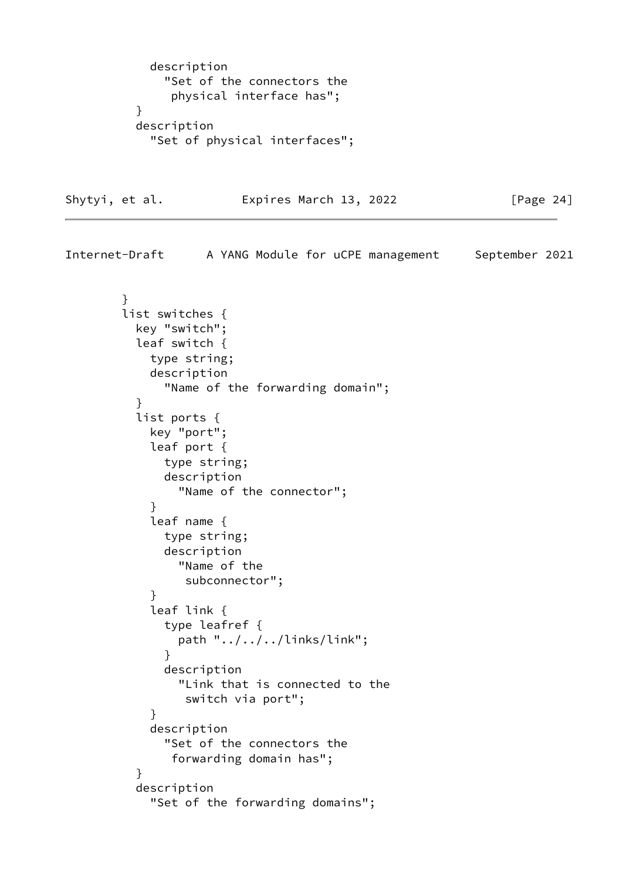```
 description
              "Set of the connectors the
               physical interface has";
 }
          description
            "Set of physical interfaces";
```
Shytyi, et al. **Expires March 13, 2022** [Page 24]

Internet-Draft A YANG Module for uCPE management September 2021 } list switches { key "switch"; leaf switch { type string; description "Name of the forwarding domain"; } list ports { key "port"; leaf port { type string; description "Name of the connector"; } leaf name { type string; description "Name of the subconnector"; } leaf link { type leafref { path "../../../links/link"; } description "Link that is connected to the switch via port"; } description "Set of the connectors the forwarding domain has"; } description "Set of the forwarding domains";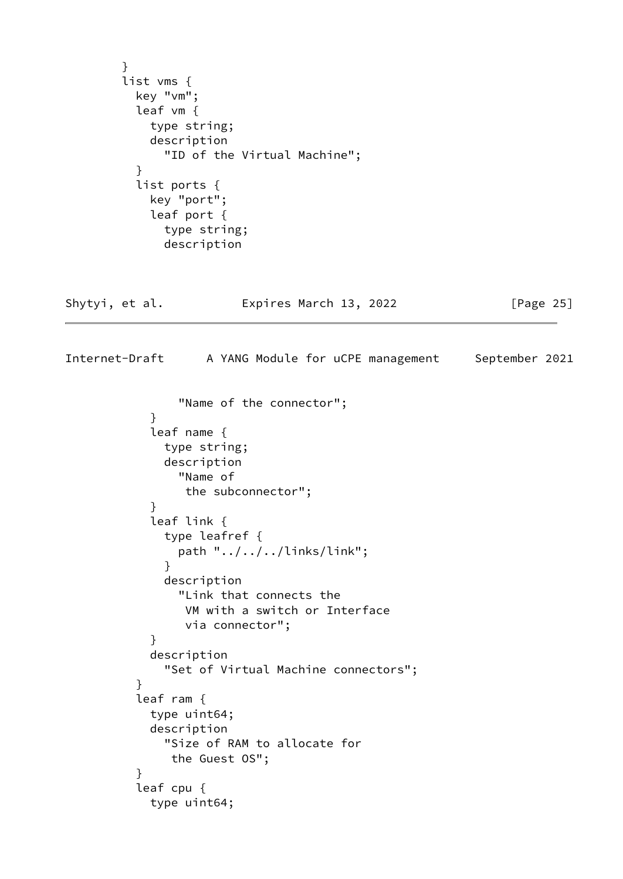```
 }
        list vms {
          key "vm";
          leaf vm {
            type string;
            description
              "ID of the Virtual Machine";
          }
          list ports {
            key "port";
            leaf port {
              type string;
              description
Shytyi, et al.             Expires March 13, 2022             [Page 25]
Internet-Draft A YANG Module for uCPE management September 2021
                "Name of the connector";
 }
            leaf name {
              type string;
              description
                "Name of
                 the subconnector";
 }
            leaf link {
              type leafref {
                path "../../../links/link";
 }
              description
                "Link that connects the
                 VM with a switch or Interface
                 via connector";
 }
            description
              "Set of Virtual Machine connectors";
 }
          leaf ram {
            type uint64;
            description
              "Size of RAM to allocate for
               the Guest OS";
 }
          leaf cpu {
            type uint64;
```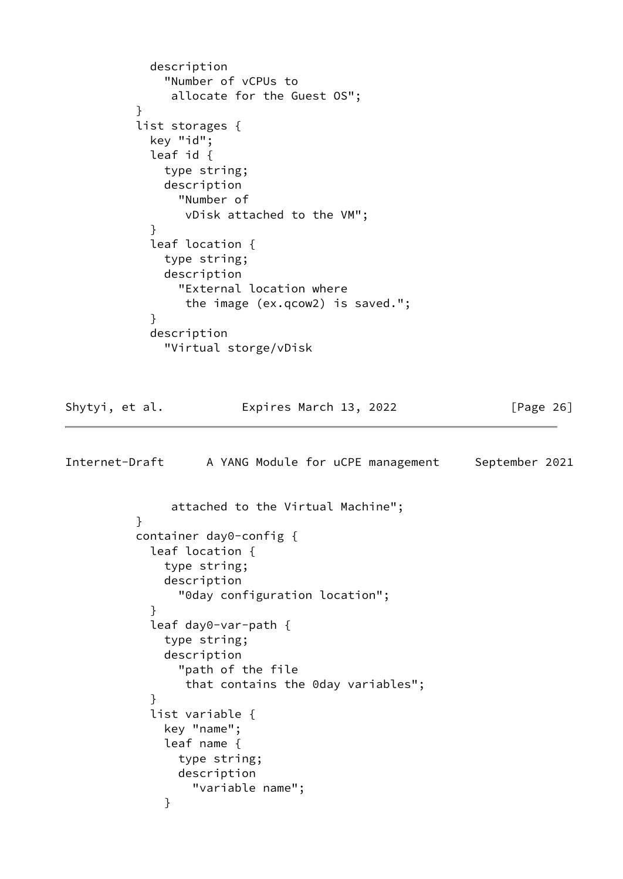```
 description
              "Number of vCPUs to
               allocate for the Guest OS";
 }
          list storages {
            key "id";
            leaf id {
              type string;
              description
                "Number of
                 vDisk attached to the VM";
 }
            leaf location {
              type string;
              description
                "External location where
                 the image (ex.qcow2) is saved.";
 }
            description
              "Virtual storge/vDisk
Shytyi, et al.             Expires March 13, 2022             [Page 26]
Internet-Draft A YANG Module for uCPE management September 2021
               attached to the Virtual Machine";
          }
          container day0-config {
            leaf location {
              type string;
              description
                "0day configuration location";
 }
```

```
 leaf day0-var-path {
              type string;
              description
               "path of the file
                that contains the 0day variables";
 }
            list variable {
              key "name";
              leaf name {
               type string;
               description
                 "variable name";
 }
```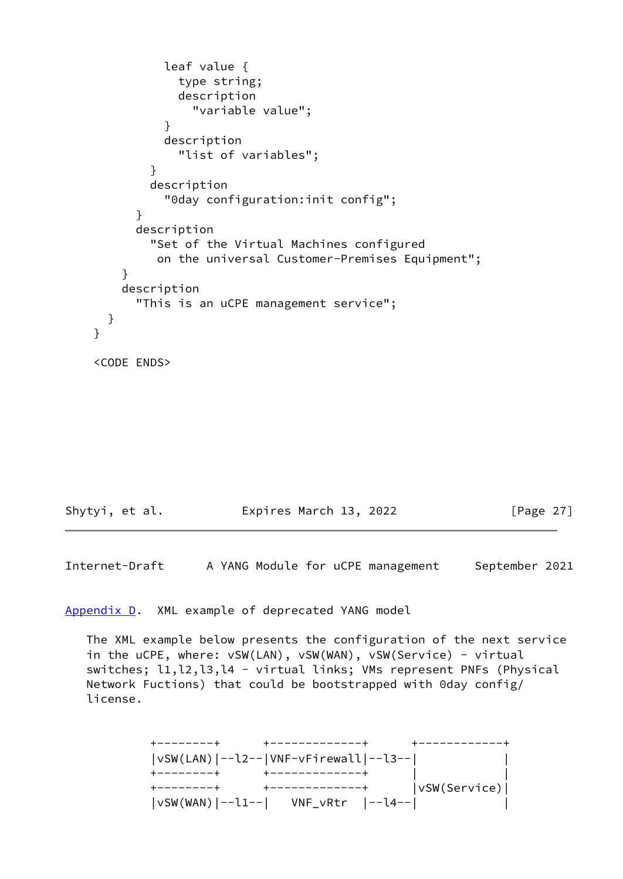```
 leaf value {
                 type string;
                 description
                   "variable value";
 }
               description
                 "list of variables";
 }
             description
               "0day configuration:init config";
           }
           description
             "Set of the Virtual Machines configured
             on the universal Customer-Premises Equipment";
         }
        description
           "This is an uCPE management service";
      }
    }
    <CODE ENDS>
```
<span id="page-30-1"></span>

| Shytyi, et al. | Expires March 13, 2022 | [Page $27$ ] |
|----------------|------------------------|--------------|
|----------------|------------------------|--------------|

<span id="page-30-0"></span>[Appendix D.](#page-30-0) XML example of deprecated YANG model

 The XML example below presents the configuration of the next service in the uCPE, where: vSW(LAN), vSW(WAN), vSW(Service) - virtual switches; l1,l2,l3,l4 - virtual links; VMs represent PNFs (Physical Network Fuctions) that could be bootstrapped with 0day config/ license.

> +--------+ +-------------+ +------------+ |vSW(LAN)|--l2--|VNF-vFirewall|--l3--| | +--------+ +-------------+ | | +--------+ +-------------+ |vSW(Service)| |vSW(WAN)|--l1--| VNF\_vRtr |--l4--| |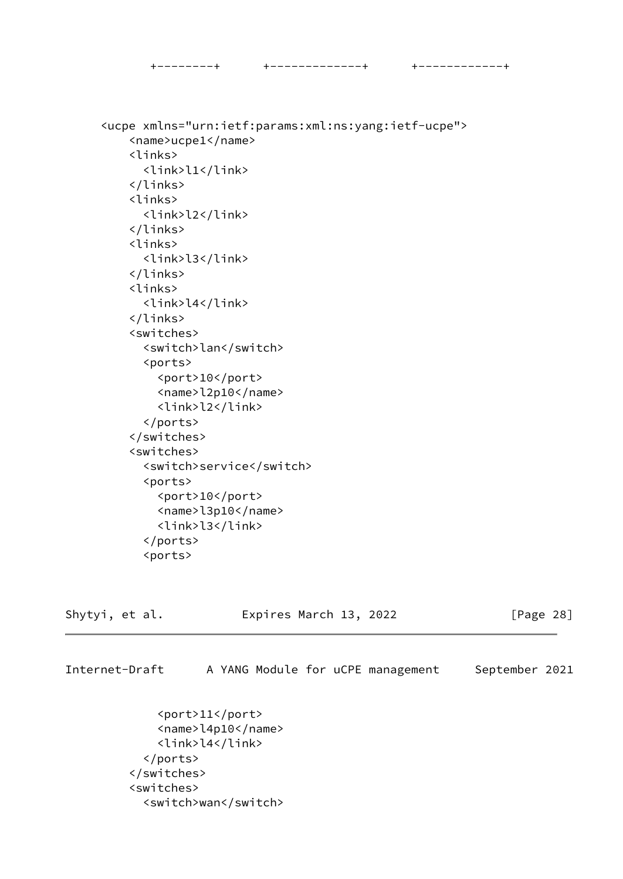```
 +--------+ +-------------+ +------------+
```
 <ucpe xmlns="urn:ietf:params:xml:ns:yang:ietf-ucpe"> <name>ucpe1</name> <links> <link>l1</link> </links> <links> <link>l2</link> </links> <links> <link>l3</link> </links> <links> <link>l4</link> </links> <switches> <switch>lan</switch> <ports> <port>10</port> <name>l2p10</name> <link>l2</link> </ports> </switches> <switches> <switch>service</switch> <ports> <port>10</port> <name>l3p10</name> <link>l3</link> </ports> <ports>

Shytyi, et al. Expires March 13, 2022 [Page 28]

Internet-Draft A YANG Module for uCPE management September 2021

 <port>11</port> <name>l4p10</name> <link>l4</link> </ports> </switches> <switches> <switch>wan</switch>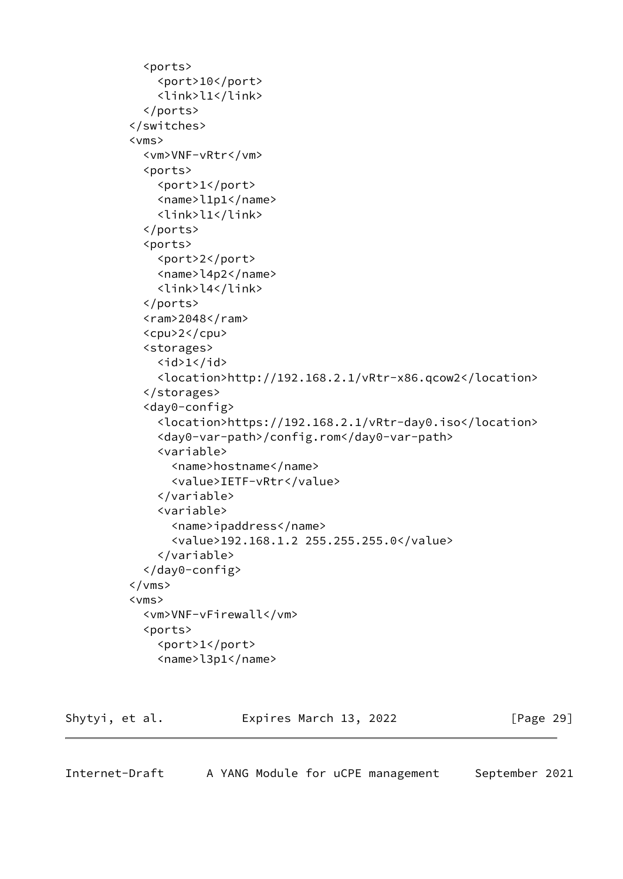```
 <ports>
     <port>10</port>
     <link>l1</link>
   </ports>
 </switches>
 <vms>
   <vm>VNF-vRtr</vm>
   <ports>
     <port>1</port>
     <name>l1p1</name>
     <link>l1</link>
   </ports>
   <ports>
     <port>2</port>
     <name>l4p2</name>
     <link>l4</link>
   </ports>
  <ram>2048</ram>
   <cpu>2</cpu>
   <storages>
    \langleid>1</id>
     <location>http://192.168.2.1/vRtr-x86.qcow2</location>
   </storages>
   <day0-config>
     <location>https://192.168.2.1/vRtr-day0.iso</location>
     <day0-var-path>/config.rom</day0-var-path>
     <variable>
      <name>hostname</name>
       <value>IETF-vRtr</value>
     </variable>
     <variable>
       <name>ipaddress</name>
       <value>192.168.1.2 255.255.255.0</value>
     </variable>
   </day0-config>
\langle/vms\rangle <vms>
   <vm>VNF-vFirewall</vm>
   <ports>
     <port>1</port>
     <name>l3p1</name>
```
<span id="page-32-0"></span>

| Shytyi, et al. | Expires March 13, 2022 | [Page 29] |
|----------------|------------------------|-----------|
|----------------|------------------------|-----------|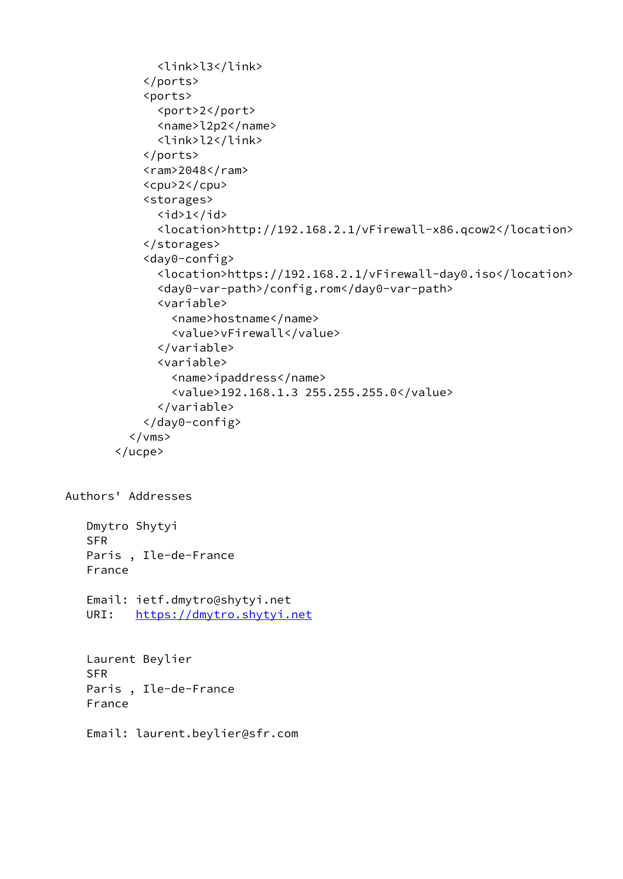```
 <link>l3</link>
             </ports>
             <ports>
               <port>2</port>
               <name>l2p2</name>
               <link>l2</link>
             </ports>
            <ram>2048</ram>
             <cpu>2</cpu>
             <storages>
              \langleid>1</id>
               <location>http://192.168.2.1/vFirewall-x86.qcow2</location>
             </storages>
             <day0-config>
               <location>https://192.168.2.1/vFirewall-day0.iso</location>
               <day0-var-path>/config.rom</day0-var-path>
               <variable>
                 <name>hostname</name>
                 <value>vFirewall</value>
               </variable>
               <variable>
                 <name>ipaddress</name>
                 <value>192.168.1.3 255.255.255.0</value>
               </variable>
             </day0-config>
          \langle/vms\rangle </ucpe>
Authors' Addresses
    Dmytro Shytyi
    SFR
    Paris , Ile-de-France
    France
    Email: ietf.dmytro@shytyi.net
    URI: https://dmytro.shytyi.net
    Laurent Beylier
    SFR
    Paris , Ile-de-France
    France
    Email: laurent.beylier@sfr.com
```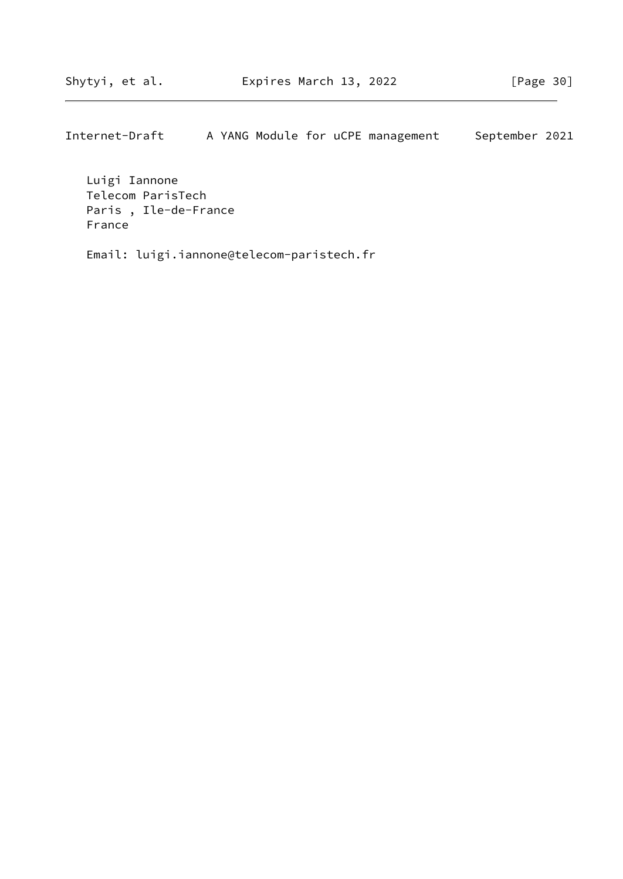Luigi Iannone Telecom ParisTech Paris , Ile-de-France France

Email: luigi.iannone@telecom-paristech.fr